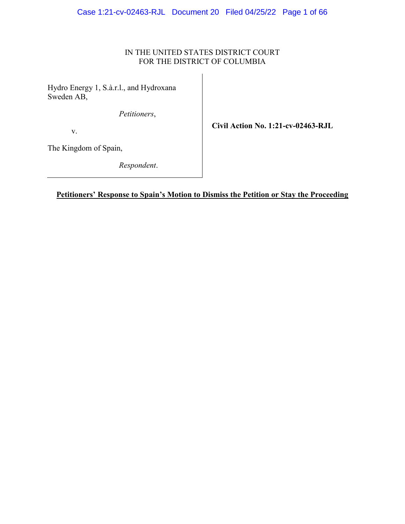## IN THE UNITED STATES DISTRICT COURT FOR THE DISTRICT OF COLUMBIA

Hydro Energy 1, S.à.r.l., and Hydroxana Sweden AB,

*Petitioners*,

v.

**Civil Action No. 1:21-cv-02463-RJL**

The Kingdom of Spain,

*Respondent*.

## **Petitioners' Response to Spain's Motion to Dismiss the Petition or Stay the Proceeding**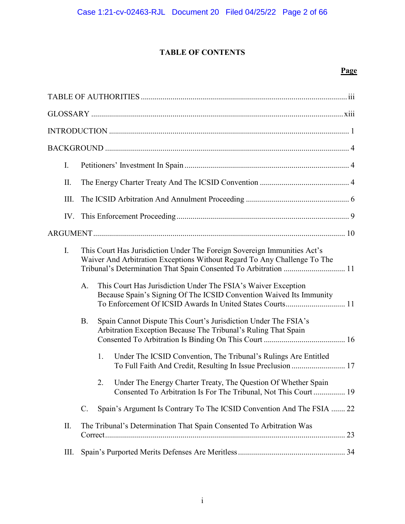## **TABLE OF CONTENTS**

| I.   |                                                                                                                                                                                                                          |    |                                                                                                                                                                                                   |
|------|--------------------------------------------------------------------------------------------------------------------------------------------------------------------------------------------------------------------------|----|---------------------------------------------------------------------------------------------------------------------------------------------------------------------------------------------------|
| II.  |                                                                                                                                                                                                                          |    |                                                                                                                                                                                                   |
| III. |                                                                                                                                                                                                                          |    |                                                                                                                                                                                                   |
|      |                                                                                                                                                                                                                          |    |                                                                                                                                                                                                   |
|      |                                                                                                                                                                                                                          |    |                                                                                                                                                                                                   |
| Ι.   | This Court Has Jurisdiction Under The Foreign Sovereign Immunities Act's<br>Waiver And Arbitration Exceptions Without Regard To Any Challenge To The<br>Tribunal's Determination That Spain Consented To Arbitration  11 |    |                                                                                                                                                                                                   |
|      | A.                                                                                                                                                                                                                       |    | This Court Has Jurisdiction Under The FSIA's Waiver Exception<br>Because Spain's Signing Of The ICSID Convention Waived Its Immunity<br>To Enforcement Of ICSID Awards In United States Courts 11 |
|      | B.                                                                                                                                                                                                                       |    | Spain Cannot Dispute This Court's Jurisdiction Under The FSIA's<br>Arbitration Exception Because The Tribunal's Ruling That Spain                                                                 |
|      |                                                                                                                                                                                                                          | 1. | Under The ICSID Convention, The Tribunal's Rulings Are Entitled<br>To Full Faith And Credit, Resulting In Issue Preclusion  17                                                                    |
|      |                                                                                                                                                                                                                          | 2. | Under The Energy Charter Treaty, The Question Of Whether Spain<br>Consented To Arbitration Is For The Tribunal, Not This Court 19                                                                 |
|      | C.                                                                                                                                                                                                                       |    | Spain's Argument Is Contrary To The ICSID Convention And The FSIA  22                                                                                                                             |
| П.   |                                                                                                                                                                                                                          |    | The Tribunal's Determination That Spain Consented To Arbitration Was                                                                                                                              |
| Ш.   |                                                                                                                                                                                                                          |    |                                                                                                                                                                                                   |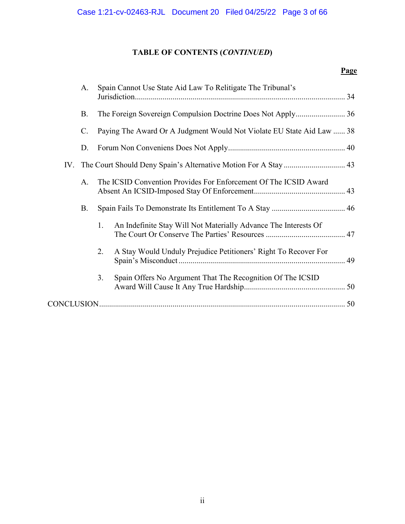# **TABLE OF CONTENTS (***CONTINUED***)**

| A.              | Spain Cannot Use State Aid Law To Relitigate The Tribunal's           |
|-----------------|-----------------------------------------------------------------------|
| <b>B.</b>       |                                                                       |
| $\mathcal{C}$ . | Paying The Award Or A Judgment Would Not Violate EU State Aid Law  38 |
| D.              |                                                                       |
|                 | IV. The Court Should Deny Spain's Alternative Motion For A Stay  43   |
| A.              | The ICSID Convention Provides For Enforcement Of The ICSID Award      |
| <b>B.</b>       |                                                                       |
|                 | An Indefinite Stay Will Not Materially Advance The Interests Of<br>1. |
|                 | A Stay Would Unduly Prejudice Petitioners' Right To Recover For<br>2. |
|                 | Spain Offers No Argument That The Recognition Of The ICSID<br>3.      |
|                 |                                                                       |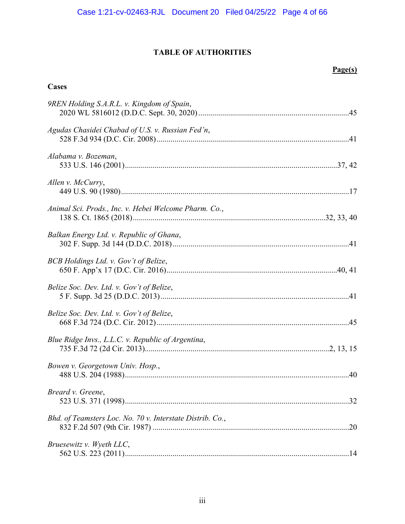## **TABLE OF AUTHORITIES**

## **Page(s)**

## <span id="page-3-0"></span>**Cases**

| 9REN Holding S.A.R.L. v. Kingdom of Spain,                |  |
|-----------------------------------------------------------|--|
| Agudas Chasidei Chabad of U.S. v. Russian Fed'n,          |  |
| Alabama v. Bozeman,                                       |  |
| Allen v. McCurry,                                         |  |
| Animal Sci. Prods., Inc. v. Hebei Welcome Pharm. Co.,     |  |
| Balkan Energy Ltd. v. Republic of Ghana,                  |  |
| BCB Holdings Ltd. v. Gov't of Belize,                     |  |
| Belize Soc. Dev. Ltd. v. Gov't of Belize,                 |  |
| Belize Soc. Dev. Ltd. v. Gov't of Belize,                 |  |
| Blue Ridge Invs., L.L.C. v. Republic of Argentina,        |  |
| Bowen v. Georgetown Univ. Hosp.,                          |  |
| Breard v. Greene,                                         |  |
| Bhd. of Teamsters Loc. No. 70 v. Interstate Distrib. Co., |  |
| Bruesewitz v. Wyeth LLC,                                  |  |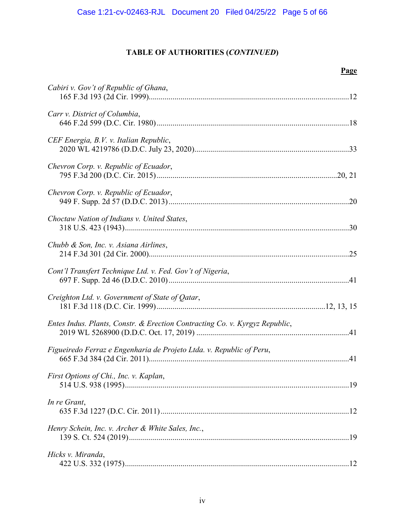| Cabiri v. Gov't of Republic of Ghana,                                       |
|-----------------------------------------------------------------------------|
| Carr v. District of Columbia,                                               |
| CEF Energia, B.V. v. Italian Republic,                                      |
| Chevron Corp. v. Republic of Ecuador,                                       |
| Chevron Corp. v. Republic of Ecuador,                                       |
| Choctaw Nation of Indians v. United States,                                 |
| Chubb & Son, Inc. v. Asiana Airlines,                                       |
| Cont'l Transfert Technique Ltd. v. Fed. Gov't of Nigeria,                   |
| Creighton Ltd. v. Government of State of Qatar,                             |
| Entes Indus. Plants, Constr. & Erection Contracting Co. v. Kyrgyz Republic, |
| Figueiredo Ferraz e Engenharia de Projeto Ltda. v. Republic of Peru,        |
| First Options of Chi., Inc. v. Kaplan,                                      |
| In re Grant,                                                                |
| Henry Schein, Inc. v. Archer & White Sales, Inc.,                           |
| Hicks v. Miranda,                                                           |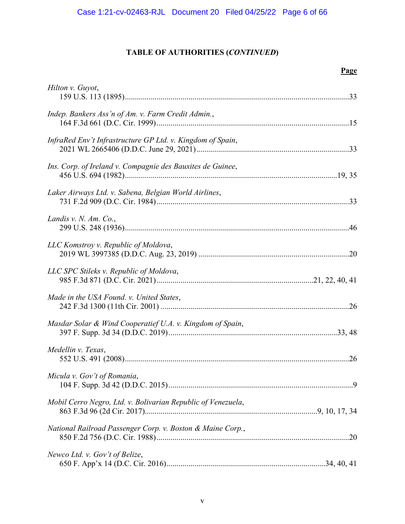| Hilton v. Guyot,                                             |  |
|--------------------------------------------------------------|--|
| Indep. Bankers Ass'n of Am. v. Farm Credit Admin.,           |  |
| InfraRed Env't Infrastructure GP Ltd. v. Kingdom of Spain,   |  |
| Ins. Corp. of Ireland v. Compagnie des Bauxites de Guinee,   |  |
| Laker Airways Ltd. v. Sabena, Belgian World Airlines,        |  |
| Landis v. N. Am. Co.,                                        |  |
| LLC Komstroy v. Republic of Moldova,                         |  |
| LLC SPC Stileks v. Republic of Moldova,                      |  |
| Made in the USA Found. v. United States,                     |  |
| Masdar Solar & Wind Cooperatief U.A. v. Kingdom of Spain,    |  |
| Medellin v. Texas,                                           |  |
| Micula v. Gov't of Romania,                                  |  |
| Mobil Cerro Negro, Ltd. v. Bolivarian Republic of Venezuela, |  |
| National Railroad Passenger Corp. v. Boston & Maine Corp.,   |  |
| Newco Ltd. v. Gov't of Belize,                               |  |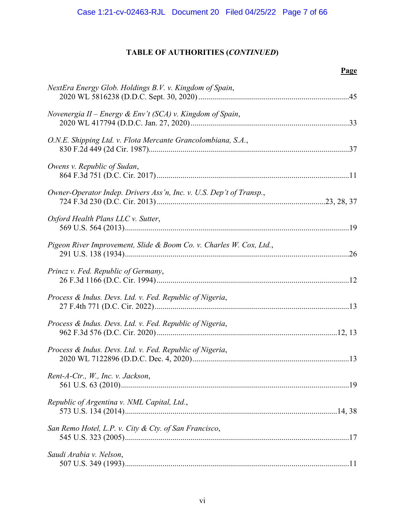| NextEra Energy Glob. Holdings B.V. v. Kingdom of Spain,             |
|---------------------------------------------------------------------|
| Novenergia II – Energy & Env't (SCA) v. Kingdom of Spain,           |
| O.N.E. Shipping Ltd. v. Flota Mercante Grancolombiana, S.A.,        |
| Owens v. Republic of Sudan,                                         |
| Owner-Operator Indep. Drivers Ass'n, Inc. v. U.S. Dep't of Transp., |
| Oxford Health Plans LLC v. Sutter,                                  |
| Pigeon River Improvement, Slide & Boom Co. v. Charles W. Cox, Ltd., |
| Princz v. Fed. Republic of Germany,                                 |
| Process & Indus. Devs. Ltd. v. Fed. Republic of Nigeria,            |
| Process & Indus. Devs. Ltd. v. Fed. Republic of Nigeria,            |
| Process & Indus. Devs. Ltd. v. Fed. Republic of Nigeria,            |
| Rent-A-Ctr., W., Inc. v. Jackson,                                   |
| Republic of Argentina v. NML Capital, Ltd.,                         |
| San Remo Hotel, L.P. v. City & Cty. of San Francisco,               |
| Saudi Arabia v. Nelson,                                             |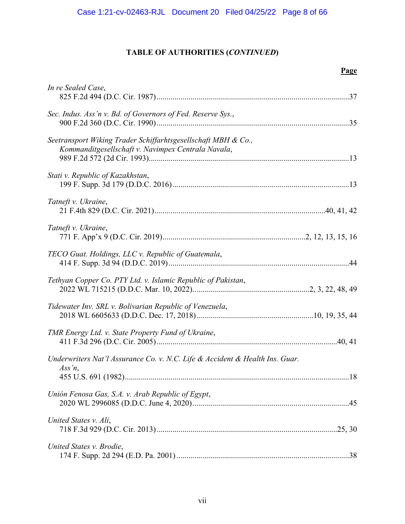| In re Sealed Case,                                                                                                  |
|---------------------------------------------------------------------------------------------------------------------|
| Sec. Indus. Ass'n v. Bd. of Governors of Fed. Reserve Sys.,                                                         |
| Seetransport Wiking Trader Schiffarhtsgesellschaft MBH & Co.,<br>Kommanditgesellschaft v. Navimpex Centrala Navala, |
| Stati v. Republic of Kazakhstan,                                                                                    |
| Tatneft v. Ukraine,                                                                                                 |
| Tatneft v. Ukraine,                                                                                                 |
| TECO Guat. Holdings, LLC v. Republic of Guatemala,                                                                  |
| Tethyan Copper Co. PTY Ltd. v. Islamic Republic of Pakistan,                                                        |
| Tidewater Inv. SRL v. Bolivarian Republic of Venezuela,                                                             |
| TMR Energy Ltd. v. State Property Fund of Ukraine,                                                                  |
| Underwriters Nat'l Assurance Co. v. N.C. Life & Accident & Health Ins. Guar.<br>Ass'n,                              |
| Unión Fenosa Gas, S.A. v. Arab Republic of Egypt,                                                                   |
| United States v. Ali,                                                                                               |
| United States v. Brodie,                                                                                            |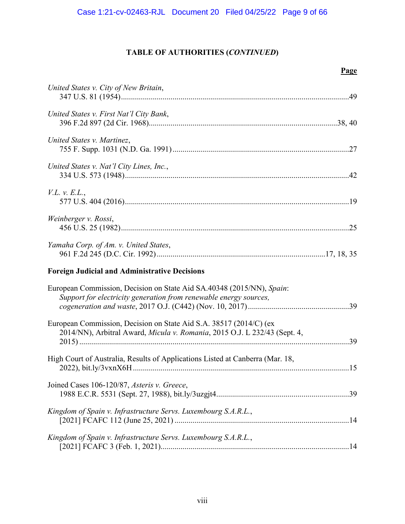| United States v. City of New Britain,                                                                                                           |  |
|-------------------------------------------------------------------------------------------------------------------------------------------------|--|
| United States v. First Nat'l City Bank,                                                                                                         |  |
| United States v. Martinez,                                                                                                                      |  |
| United States v. Nat'l City Lines, Inc.,                                                                                                        |  |
| V.L. v. E.L.,                                                                                                                                   |  |
| Weinberger v. Rossi,                                                                                                                            |  |
| Yamaha Corp. of Am. v. United States,                                                                                                           |  |
| <b>Foreign Judicial and Administrative Decisions</b>                                                                                            |  |
| European Commission, Decision on State Aid SA.40348 (2015/NN), Spain:<br>Support for electricity generation from renewable energy sources,      |  |
| European Commission, Decision on State Aid S.A. 38517 (2014/C) (ex<br>2014/NN), Arbitral Award, Micula v. Romania, 2015 O.J. L 232/43 (Sept. 4, |  |
| High Court of Australia, Results of Applications Listed at Canberra (Mar. 18,                                                                   |  |
| Joined Cases 106-120/87, Asteris v. Greece,                                                                                                     |  |
| Kingdom of Spain v. Infrastructure Servs. Luxembourg S.A.R.L.,                                                                                  |  |
| Kingdom of Spain v. Infrastructure Servs. Luxembourg S.A.R.L.,                                                                                  |  |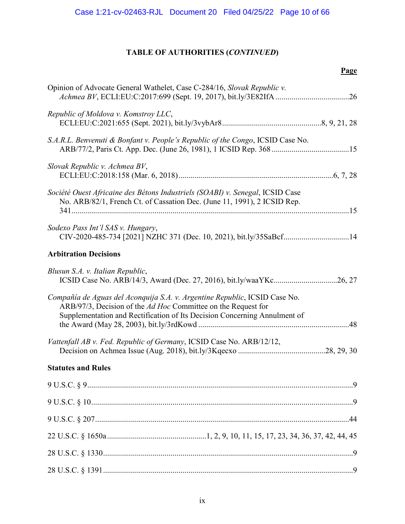| Opinion of Advocate General Wathelet, Case C-284/16, Slovak Republic v.                                                                                                                                                  |
|--------------------------------------------------------------------------------------------------------------------------------------------------------------------------------------------------------------------------|
| Republic of Moldova v. Komstroy LLC,                                                                                                                                                                                     |
| S.A.R.L. Benvenuti & Bonfant v. People's Republic of the Congo, ICSID Case No.                                                                                                                                           |
| Slovak Republic v. Achmea BV,                                                                                                                                                                                            |
| Société Ouest Africaine des Bétons Industriels (SOABI) v. Senegal, ICSID Case<br>No. ARB/82/1, French Ct. of Cassation Dec. (June 11, 1991), 2 ICSID Rep.                                                                |
| Sodexo Pass Int'l SAS v. Hungary,<br>CIV-2020-485-734 [2021] NZHC 371 (Dec. 10, 2021), bit.ly/35SaBcf14                                                                                                                  |
| <b>Arbitration Decisions</b>                                                                                                                                                                                             |
| Blusun S.A. v. Italian Republic,                                                                                                                                                                                         |
| Compañía de Aguas del Aconquija S.A. v. Argentine Republic, ICSID Case No.<br>ARB/97/3, Decision of the Ad Hoc Committee on the Request for<br>Supplementation and Rectification of Its Decision Concerning Annulment of |
| Vattenfall AB v. Fed. Republic of Germany, ICSID Case No. ARB/12/12,                                                                                                                                                     |
| <b>Statutes and Rules</b>                                                                                                                                                                                                |
|                                                                                                                                                                                                                          |
|                                                                                                                                                                                                                          |
|                                                                                                                                                                                                                          |
|                                                                                                                                                                                                                          |
|                                                                                                                                                                                                                          |
|                                                                                                                                                                                                                          |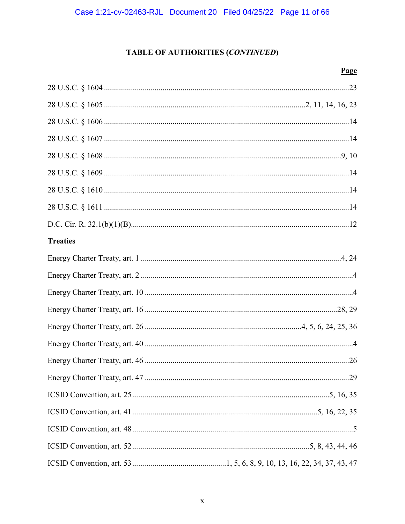| <b>Treaties</b> |
|-----------------|
|                 |
|                 |
|                 |
|                 |
|                 |
|                 |
|                 |
|                 |
|                 |
|                 |
|                 |
|                 |
|                 |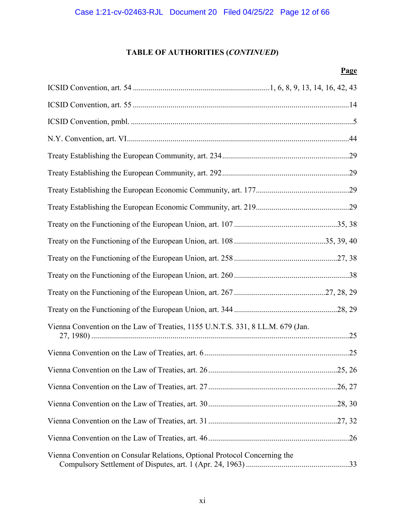| Vienna Convention on the Law of Treaties, 1155 U.N.T.S. 331, 8 I.L.M. 679 (Jan. |  |
|---------------------------------------------------------------------------------|--|
|                                                                                 |  |
|                                                                                 |  |
|                                                                                 |  |
|                                                                                 |  |
|                                                                                 |  |
|                                                                                 |  |
| Vienna Convention on Consular Relations, Optional Protocol Concerning the       |  |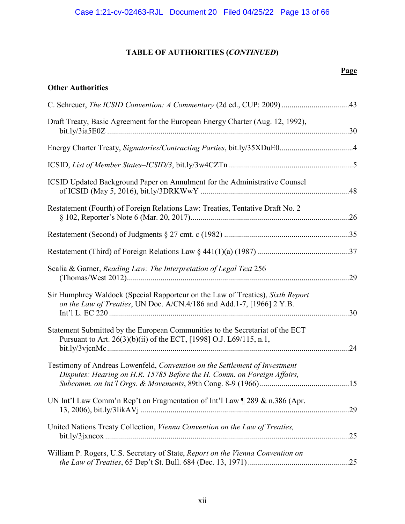## **Page**

## **Other Authorities**

| C. Schreuer, The ICSID Convention: A Commentary (2d ed., CUP: 2009) 43                                                                                  |     |
|---------------------------------------------------------------------------------------------------------------------------------------------------------|-----|
| Draft Treaty, Basic Agreement for the European Energy Charter (Aug. 12, 1992),                                                                          |     |
|                                                                                                                                                         |     |
|                                                                                                                                                         |     |
| ICSID Updated Background Paper on Annulment for the Administrative Counsel                                                                              |     |
| Restatement (Fourth) of Foreign Relations Law: Treaties, Tentative Draft No. 2                                                                          |     |
|                                                                                                                                                         |     |
|                                                                                                                                                         |     |
| Scalia & Garner, Reading Law: The Interpretation of Legal Text 256                                                                                      |     |
| Sir Humphrey Waldock (Special Rapporteur on the Law of Treaties), Sixth Report<br>on the Law of Treaties, UN Doc. A/CN.4/186 and Add.1-7, [1966] 2 Y.B. | .30 |
| Statement Submitted by the European Communities to the Secretariat of the ECT<br>Pursuant to Art. 26(3)(b)(ii) of the ECT, [1998] O.J. L69/115, n.1,    |     |
| Testimony of Andreas Lowenfeld, Convention on the Settlement of Investment<br>Disputes: Hearing on H.R. 15785 Before the H. Comm. on Foreign Affairs,   |     |
| UN Int'l Law Comm'n Rep't on Fragmentation of Int'l Law ¶ 289 & n.386 (Apr.                                                                             |     |
| United Nations Treaty Collection, Vienna Convention on the Law of Treaties,                                                                             |     |
| William P. Rogers, U.S. Secretary of State, Report on the Vienna Convention on                                                                          |     |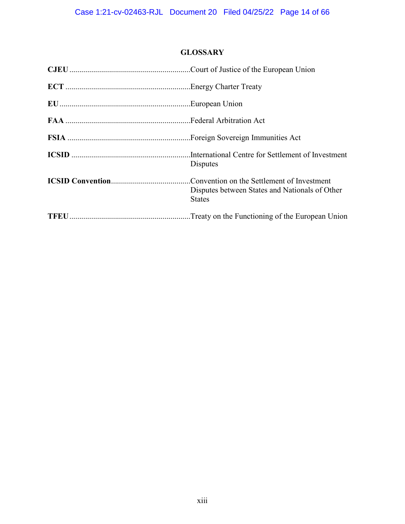## **GLOSSARY**

<span id="page-13-0"></span>

| Disputes                                                        |
|-----------------------------------------------------------------|
| Disputes between States and Nationals of Other<br><b>States</b> |
|                                                                 |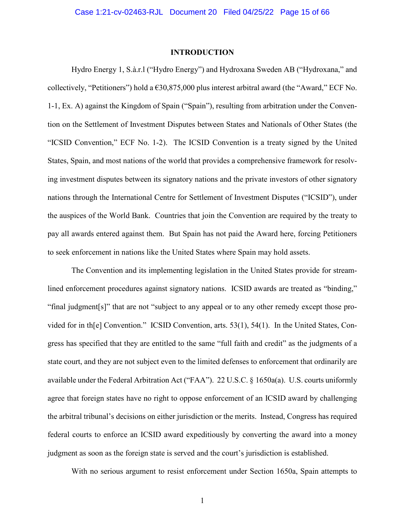#### **INTRODUCTION**

<span id="page-14-0"></span>Hydro Energy 1, S.à.r.l ("Hydro Energy") and Hydroxana Sweden AB ("Hydroxana," and collectively, "Petitioners") hold a  $630,875,000$  plus interest arbitral award (the "Award," ECF No. 1-1, Ex. A) against the Kingdom of Spain ("Spain"), resulting from arbitration under the Convention on the Settlement of Investment Disputes between States and Nationals of Other States (the "ICSID Convention," ECF No. 1-2). The ICSID Convention is a treaty signed by the United States, Spain, and most nations of the world that provides a comprehensive framework for resolving investment disputes between its signatory nations and the private investors of other signatory nations through the International Centre for Settlement of Investment Disputes ("ICSID"), under the auspices of the World Bank. Countries that join the Convention are required by the treaty to pay all awards entered against them. But Spain has not paid the Award here, forcing Petitioners to seek enforcement in nations like the United States where Spain may hold assets.

The Convention and its implementing legislation in the United States provide for streamlined enforcement procedures against signatory nations. ICSID awards are treated as "binding," "final judgment[s]" that are not "subject to any appeal or to any other remedy except those provided for in th[e] Convention." ICSID Convention, arts. 53(1), 54(1). In the United States, Congress has specified that they are entitled to the same "full faith and credit" as the judgments of a state court, and they are not subject even to the limited defenses to enforcement that ordinarily are available under the Federal Arbitration Act ("FAA"). 22 U.S.C. § 1650a(a). U.S. courts uniformly agree that foreign states have no right to oppose enforcement of an ICSID award by challenging the arbitral tribunal's decisions on either jurisdiction or the merits. Instead, Congress has required federal courts to enforce an ICSID award expeditiously by converting the award into a money judgment as soon as the foreign state is served and the court's jurisdiction is established.

With no serious argument to resist enforcement under Section 1650a, Spain attempts to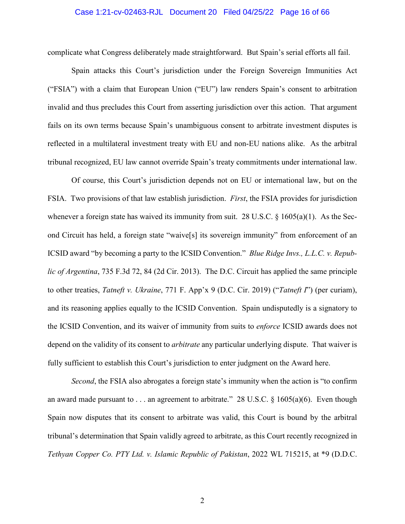## Case 1:21-cv-02463-RJL Document 20 Filed 04/25/22 Page 16 of 66

complicate what Congress deliberately made straightforward. But Spain's serial efforts all fail.

Spain attacks this Court's jurisdiction under the Foreign Sovereign Immunities Act ("FSIA") with a claim that European Union ("EU") law renders Spain's consent to arbitration invalid and thus precludes this Court from asserting jurisdiction over this action. That argument fails on its own terms because Spain's unambiguous consent to arbitrate investment disputes is reflected in a multilateral investment treaty with EU and non-EU nations alike. As the arbitral tribunal recognized, EU law cannot override Spain's treaty commitments under international law.

Of course, this Court's jurisdiction depends not on EU or international law, but on the FSIA. Two provisions of that law establish jurisdiction. *First*, the FSIA provides for jurisdiction whenever a foreign state has waived its immunity from suit. 28 U.S.C. § 1605(a)(1). As the Second Circuit has held, a foreign state "waive[s] its sovereign immunity" from enforcement of an ICSID award "by becoming a party to the ICSID Convention." *Blue Ridge Invs., L.L.C. v. Republic of Argentina*, 735 F.3d 72, 84 (2d Cir. 2013). The D.C. Circuit has applied the same principle to other treaties, *Tatneft v. Ukraine*, 771 F. App'x 9 (D.C. Cir. 2019) ("*Tatneft I*") (per curiam), and its reasoning applies equally to the ICSID Convention. Spain undisputedly is a signatory to the ICSID Convention, and its waiver of immunity from suits to *enforce* ICSID awards does not depend on the validity of its consent to *arbitrate* any particular underlying dispute. That waiver is fully sufficient to establish this Court's jurisdiction to enter judgment on the Award here.

*Second*, the FSIA also abrogates a foreign state's immunity when the action is "to confirm an award made pursuant to . . . an agreement to arbitrate." 28 U.S.C.  $\S$  1605(a)(6). Even though Spain now disputes that its consent to arbitrate was valid, this Court is bound by the arbitral tribunal's determination that Spain validly agreed to arbitrate, as this Court recently recognized in *Tethyan Copper Co. PTY Ltd. v. Islamic Republic of Pakistan*, 2022 WL 715215, at \*9 (D.D.C.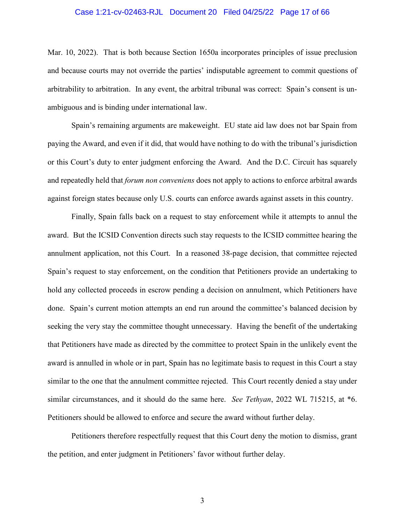## Case 1:21-cv-02463-RJL Document 20 Filed 04/25/22 Page 17 of 66

Mar. 10, 2022). That is both because Section 1650a incorporates principles of issue preclusion and because courts may not override the parties' indisputable agreement to commit questions of arbitrability to arbitration. In any event, the arbitral tribunal was correct: Spain's consent is unambiguous and is binding under international law.

Spain's remaining arguments are makeweight. EU state aid law does not bar Spain from paying the Award, and even if it did, that would have nothing to do with the tribunal's jurisdiction or this Court's duty to enter judgment enforcing the Award. And the D.C. Circuit has squarely and repeatedly held that *forum non conveniens* does not apply to actions to enforce arbitral awards against foreign states because only U.S. courts can enforce awards against assets in this country.

Finally, Spain falls back on a request to stay enforcement while it attempts to annul the award. But the ICSID Convention directs such stay requests to the ICSID committee hearing the annulment application, not this Court. In a reasoned 38-page decision, that committee rejected Spain's request to stay enforcement, on the condition that Petitioners provide an undertaking to hold any collected proceeds in escrow pending a decision on annulment, which Petitioners have done. Spain's current motion attempts an end run around the committee's balanced decision by seeking the very stay the committee thought unnecessary. Having the benefit of the undertaking that Petitioners have made as directed by the committee to protect Spain in the unlikely event the award is annulled in whole or in part, Spain has no legitimate basis to request in this Court a stay similar to the one that the annulment committee rejected. This Court recently denied a stay under similar circumstances, and it should do the same here. *See Tethyan*, 2022 WL 715215, at \*6. Petitioners should be allowed to enforce and secure the award without further delay.

Petitioners therefore respectfully request that this Court deny the motion to dismiss, grant the petition, and enter judgment in Petitioners' favor without further delay.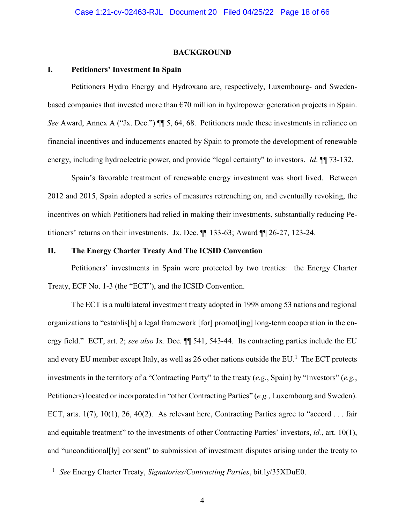### **BACKGROUND**

## <span id="page-17-1"></span><span id="page-17-0"></span>**I. Petitioners' Investment In Spain**

Petitioners Hydro Energy and Hydroxana are, respectively, Luxembourg- and Swedenbased companies that invested more than  $\epsilon$ 70 million in hydropower generation projects in Spain. *See* Award, Annex A ("Jx. Dec.")  $\P$  5, 64, 68. Petitioners made these investments in reliance on financial incentives and inducements enacted by Spain to promote the development of renewable energy, including hydroelectric power, and provide "legal certainty" to investors. *Id*. ¶¶ 73-132.

Spain's favorable treatment of renewable energy investment was short lived. Between 2012 and 2015, Spain adopted a series of measures retrenching on, and eventually revoking, the incentives on which Petitioners had relied in making their investments, substantially reducing Petitioners' returns on their investments. Jx. Dec. ¶¶ 133-63; Award ¶¶ 26-27, 123-24.

## <span id="page-17-2"></span>**II. The Energy Charter Treaty And The ICSID Convention**

Petitioners' investments in Spain were protected by two treaties: the Energy Charter Treaty, ECF No. 1-3 (the "ECT"), and the ICSID Convention.

The ECT is a multilateral investment treaty adopted in 1998 among 53 nations and regional organizations to "establis[h] a legal framework [for] promot[ing] long-term cooperation in the energy field." ECT, art. 2; *see also* Jx. Dec. ¶¶ 541, 543-44. Its contracting parties include the EU and every EU member except Italy, as well as 26 other nations outside the EU.<sup>[1](#page-17-3)</sup> The ECT protects investments in the territory of a "Contracting Party" to the treaty (*e.g.*, Spain) by "Investors" (*e.g.*, Petitioners) located or incorporated in "other Contracting Parties" (*e.g.*, Luxembourg and Sweden). ECT, arts. 1(7), 10(1), 26, 40(2). As relevant here, Contracting Parties agree to "accord . . . fair and equitable treatment" to the investments of other Contracting Parties' investors, *id.*, art. 10(1), and "unconditional[ly] consent" to submission of investment disputes arising under the treaty to

<span id="page-17-3"></span><sup>1</sup> *See* Energy Charter Treaty, *Signatories/Contracting Parties*, bit.ly/35XDuE0.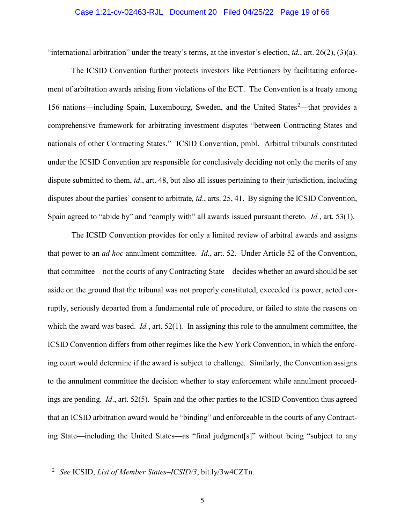## Case 1:21-cv-02463-RJL Document 20 Filed 04/25/22 Page 19 of 66

"international arbitration" under the treaty's terms, at the investor's election, *id.*, art. 26(2), (3)(a).

The ICSID Convention further protects investors like Petitioners by facilitating enforcement of arbitration awards arising from violations of the ECT. The Convention is a treaty among 156 nations—including Spain, Luxembourg, Sweden, and the United States<sup>[2](#page-18-0)</sup>—that provides a comprehensive framework for arbitrating investment disputes "between Contracting States and nationals of other Contracting States." ICSID Convention, pmbl. Arbitral tribunals constituted under the ICSID Convention are responsible for conclusively deciding not only the merits of any dispute submitted to them, *id*., art. 48, but also all issues pertaining to their jurisdiction, including disputes about the parties' consent to arbitrate*, id*., arts. 25, 41. By signing the ICSID Convention, Spain agreed to "abide by" and "comply with" all awards issued pursuant thereto. *Id.*, art. 53(1).

The ICSID Convention provides for only a limited review of arbitral awards and assigns that power to an *ad hoc* annulment committee. *Id.*, art. 52. Under Article 52 of the Convention, that committee—not the courts of any Contracting State—decides whether an award should be set aside on the ground that the tribunal was not properly constituted, exceeded its power, acted corruptly, seriously departed from a fundamental rule of procedure, or failed to state the reasons on which the award was based. *Id.*, art. 52(1)*.* In assigning this role to the annulment committee, the ICSID Convention differs from other regimes like the New York Convention, in which the enforcing court would determine if the award is subject to challenge. Similarly, the Convention assigns to the annulment committee the decision whether to stay enforcement while annulment proceedings are pending. *Id*., art. 52(5). Spain and the other parties to the ICSID Convention thus agreed that an ICSID arbitration award would be "binding" and enforceable in the courts of any Contracting State—including the United States—as "final judgment[s]" without being "subject to any

<span id="page-18-0"></span><sup>2</sup> *See* ICSID, *List of Member States–ICSID/3*, bit.ly/3w4CZTn.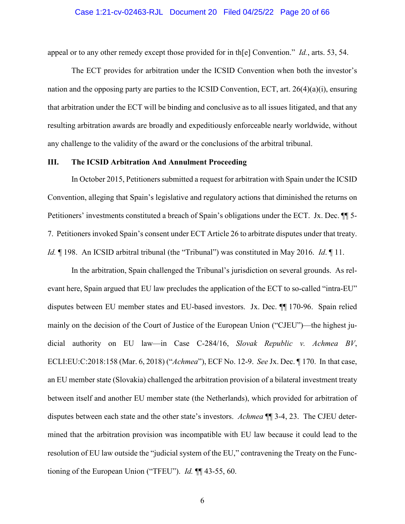### Case 1:21-cv-02463-RJL Document 20 Filed 04/25/22 Page 20 of 66

appeal or to any other remedy except those provided for in th[e] Convention." *Id.*, arts. 53, 54.

The ECT provides for arbitration under the ICSID Convention when both the investor's nation and the opposing party are parties to the ICSID Convention, ECT, art. 26(4)(a)(i), ensuring that arbitration under the ECT will be binding and conclusive as to all issues litigated, and that any resulting arbitration awards are broadly and expeditiously enforceable nearly worldwide, without any challenge to the validity of the award or the conclusions of the arbitral tribunal.

## <span id="page-19-0"></span>**III. The ICSID Arbitration And Annulment Proceeding**

In October 2015, Petitioners submitted a request for arbitration with Spain under the ICSID Convention, alleging that Spain's legislative and regulatory actions that diminished the returns on Petitioners' investments constituted a breach of Spain's obligations under the ECT. Jx. Dec. ¶¶ 5- 7. Petitioners invoked Spain's consent under ECT Article 26 to arbitrate disputes under that treaty. *Id.* ¶ 198. An ICSID arbitral tribunal (the "Tribunal") was constituted in May 2016. *Id*. ¶ 11.

In the arbitration, Spain challenged the Tribunal's jurisdiction on several grounds. As relevant here, Spain argued that EU law precludes the application of the ECT to so-called "intra-EU" disputes between EU member states and EU-based investors. Jx. Dec. ¶¶ 170-96. Spain relied mainly on the decision of the Court of Justice of the European Union ("CJEU")—the highest judicial authority on EU law—in Case C-284/16, *Slovak Republic v. Achmea BV*, ECLI:EU:C:2018:158 (Mar. 6, 2018) ("*Achmea*"), ECF No. 12-9. *See* Jx. Dec. ¶ 170. In that case, an EU member state (Slovakia) challenged the arbitration provision of a bilateral investment treaty between itself and another EU member state (the Netherlands), which provided for arbitration of disputes between each state and the other state's investors. *Achmea* ¶¶ 3-4, 23. The CJEU determined that the arbitration provision was incompatible with EU law because it could lead to the resolution of EU law outside the "judicial system of the EU," contravening the Treaty on the Functioning of the European Union ("TFEU"). *Id.* ¶¶ 43-55, 60.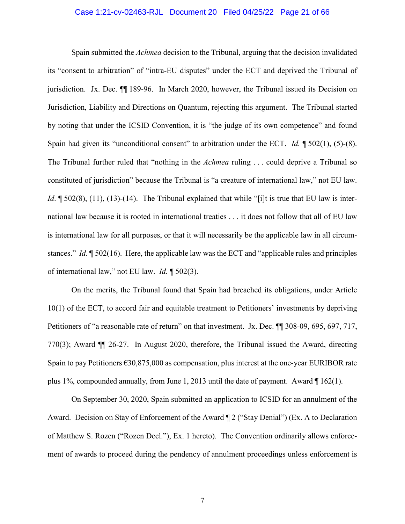## Case 1:21-cv-02463-RJL Document 20 Filed 04/25/22 Page 21 of 66

Spain submitted the *Achmea* decision to the Tribunal, arguing that the decision invalidated its "consent to arbitration" of "intra-EU disputes" under the ECT and deprived the Tribunal of jurisdiction. Jx. Dec. ¶¶ 189-96. In March 2020, however, the Tribunal issued its Decision on Jurisdiction, Liability and Directions on Quantum, rejecting this argument. The Tribunal started by noting that under the ICSID Convention, it is "the judge of its own competence" and found Spain had given its "unconditional consent" to arbitration under the ECT. *Id.* ¶ 502(1), (5)-(8). The Tribunal further ruled that "nothing in the *Achmea* ruling . . . could deprive a Tribunal so constituted of jurisdiction" because the Tribunal is "a creature of international law," not EU law. *Id*. ¶ 502(8), (11), (13)-(14). The Tribunal explained that while "[i]t is true that EU law is international law because it is rooted in international treaties . . . it does not follow that all of EU law is international law for all purposes, or that it will necessarily be the applicable law in all circumstances." *Id.* ¶ 502(16). Here, the applicable law was the ECT and "applicable rules and principles of international law," not EU law. *Id.* ¶ 502(3).

On the merits, the Tribunal found that Spain had breached its obligations, under Article 10(1) of the ECT, to accord fair and equitable treatment to Petitioners' investments by depriving Petitioners of "a reasonable rate of return" on that investment. Jx. Dec. ¶¶ 308-09, 695, 697, 717, 770(3); Award ¶¶ 26-27. In August 2020, therefore, the Tribunal issued the Award, directing Spain to pay Petitioners  $\epsilon$ 30,875,000 as compensation, plus interest at the one-year EURIBOR rate plus 1%, compounded annually, from June 1, 2013 until the date of payment. Award ¶ 162(1).

On September 30, 2020, Spain submitted an application to ICSID for an annulment of the Award. Decision on Stay of Enforcement of the Award ¶ 2 ("Stay Denial") (Ex. A to Declaration of Matthew S. Rozen ("Rozen Decl."), Ex. 1 hereto). The Convention ordinarily allows enforcement of awards to proceed during the pendency of annulment proceedings unless enforcement is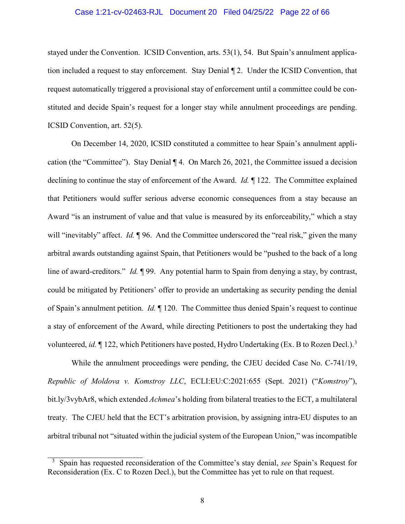## Case 1:21-cv-02463-RJL Document 20 Filed 04/25/22 Page 22 of 66

stayed under the Convention. ICSID Convention, arts. 53(1), 54. But Spain's annulment application included a request to stay enforcement. Stay Denial ¶ 2. Under the ICSID Convention, that request automatically triggered a provisional stay of enforcement until a committee could be constituted and decide Spain's request for a longer stay while annulment proceedings are pending. ICSID Convention, art. 52(5).

On December 14, 2020, ICSID constituted a committee to hear Spain's annulment application (the "Committee"). Stay Denial ¶ 4. On March 26, 2021, the Committee issued a decision declining to continue the stay of enforcement of the Award. *Id.* ¶ 122. The Committee explained that Petitioners would suffer serious adverse economic consequences from a stay because an Award "is an instrument of value and that value is measured by its enforceability," which a stay will "inevitably" affect. *Id.* **[96.** And the Committee underscored the "real risk," given the many arbitral awards outstanding against Spain, that Petitioners would be "pushed to the back of a long line of award-creditors." *Id.* ¶ 99. Any potential harm to Spain from denying a stay, by contrast, could be mitigated by Petitioners' offer to provide an undertaking as security pending the denial of Spain's annulment petition. *Id.* ¶ 120. The Committee thus denied Spain's request to continue a stay of enforcement of the Award, while directing Petitioners to post the undertaking they had volunteered, *id.* 122, which Petitioners have posted, Hydro Undertaking (Ex. B to Rozen Decl.).<sup>[3](#page-21-0)</sup>

While the annulment proceedings were pending, the CJEU decided Case No. C-741/19, *Republic of Moldova v. Komstroy LLC*, ECLI:EU:C:2021:655 (Sept. 2021) ("*Komstroy*"), bit.ly/3vybAr8, which extended *Achmea*'s holding from bilateral treaties to the ECT, a multilateral treaty. The CJEU held that the ECT's arbitration provision, by assigning intra-EU disputes to an arbitral tribunal not "situated within the judicial system of the European Union," was incompatible

<span id="page-21-0"></span><sup>3</sup> Spain has requested reconsideration of the Committee's stay denial, *see* Spain's Request for Reconsideration (Ex. C to Rozen Decl.), but the Committee has yet to rule on that request.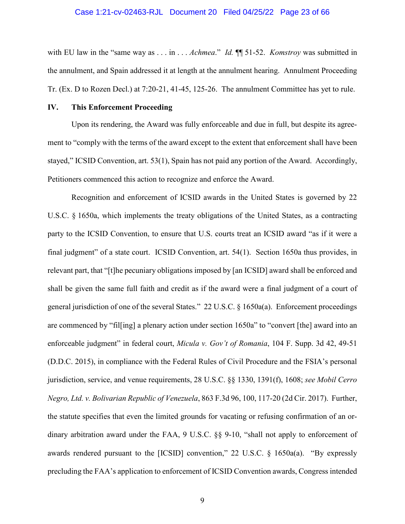### Case 1:21-cv-02463-RJL Document 20 Filed 04/25/22 Page 23 of 66

with EU law in the "same way as . . . in . . . *Achmea*." *Id.* ¶¶ 51-52. *Komstroy* was submitted in the annulment, and Spain addressed it at length at the annulment hearing. Annulment Proceeding Tr. (Ex. D to Rozen Decl.) at 7:20-21, 41-45, 125-26. The annulment Committee has yet to rule.

## <span id="page-22-0"></span>**IV. This Enforcement Proceeding**

Upon its rendering, the Award was fully enforceable and due in full, but despite its agreement to "comply with the terms of the award except to the extent that enforcement shall have been stayed," ICSID Convention, art. 53(1), Spain has not paid any portion of the Award. Accordingly, Petitioners commenced this action to recognize and enforce the Award.

Recognition and enforcement of ICSID awards in the United States is governed by 22 U.S.C. § 1650a, which implements the treaty obligations of the United States, as a contracting party to the ICSID Convention, to ensure that U.S. courts treat an ICSID award "as if it were a final judgment" of a state court. ICSID Convention, art. 54(1). Section 1650a thus provides, in relevant part, that "[t]he pecuniary obligations imposed by [an ICSID] award shall be enforced and shall be given the same full faith and credit as if the award were a final judgment of a court of general jurisdiction of one of the several States." 22 U.S.C. § 1650a(a). Enforcement proceedings are commenced by "fil[ing] a plenary action under section 1650a" to "convert [the] award into an enforceable judgment" in federal court, *Micula v. Gov't of Romania*, 104 F. Supp. 3d 42, 49-51 (D.D.C. 2015), in compliance with the Federal Rules of Civil Procedure and the FSIA's personal jurisdiction, service, and venue requirements, 28 U.S.C. §§ 1330, 1391(f), 1608; *see Mobil Cerro Negro, Ltd. v. Bolivarian Republic of Venezuela*, 863 F.3d 96, 100, 117-20 (2d Cir. 2017). Further, the statute specifies that even the limited grounds for vacating or refusing confirmation of an ordinary arbitration award under the FAA, 9 U.S.C. §§ 9-10, "shall not apply to enforcement of awards rendered pursuant to the [ICSID] convention," 22 U.S.C. § 1650a(a). "By expressly precluding the FAA's application to enforcement of ICSID Convention awards, Congress intended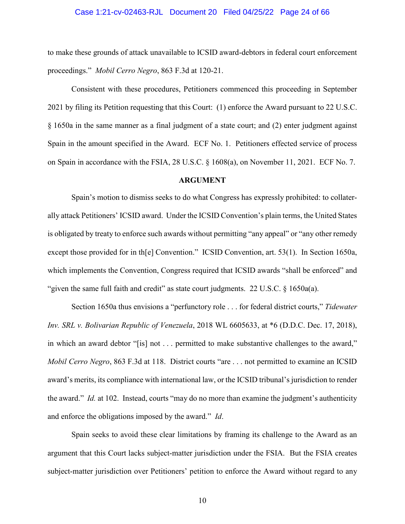### Case 1:21-cv-02463-RJL Document 20 Filed 04/25/22 Page 24 of 66

to make these grounds of attack unavailable to ICSID award-debtors in federal court enforcement proceedings." *Mobil Cerro Negro*, 863 F.3d at 120-21.

Consistent with these procedures, Petitioners commenced this proceeding in September 2021 by filing its Petition requesting that this Court: (1) enforce the Award pursuant to 22 U.S.C. § 1650a in the same manner as a final judgment of a state court; and (2) enter judgment against Spain in the amount specified in the Award. ECF No. 1. Petitioners effected service of process on Spain in accordance with the FSIA, 28 U.S.C. § 1608(a), on November 11, 2021. ECF No. 7.

## **ARGUMENT**

<span id="page-23-0"></span>Spain's motion to dismiss seeks to do what Congress has expressly prohibited: to collaterally attack Petitioners' ICSID award. Under the ICSID Convention's plain terms, the United States is obligated by treaty to enforce such awards without permitting "any appeal" or "any other remedy except those provided for in th[e] Convention." ICSID Convention, art. 53(1). In Section 1650a, which implements the Convention, Congress required that ICSID awards "shall be enforced" and "given the same full faith and credit" as state court judgments. 22 U.S.C.  $\S$  1650a(a).

Section 1650a thus envisions a "perfunctory role . . . for federal district courts," *Tidewater Inv. SRL v. Bolivarian Republic of Venezuela*, 2018 WL 6605633, at \*6 (D.D.C. Dec. 17, 2018), in which an award debtor "[is] not . . . permitted to make substantive challenges to the award," *Mobil Cerro Negro*, 863 F.3d at 118. District courts "are . . . not permitted to examine an ICSID award's merits, its compliance with international law, or the ICSID tribunal's jurisdiction to render the award." *Id.* at 102. Instead, courts "may do no more than examine the judgment's authenticity and enforce the obligations imposed by the award." *Id*.

Spain seeks to avoid these clear limitations by framing its challenge to the Award as an argument that this Court lacks subject-matter jurisdiction under the FSIA. But the FSIA creates subject-matter jurisdiction over Petitioners' petition to enforce the Award without regard to any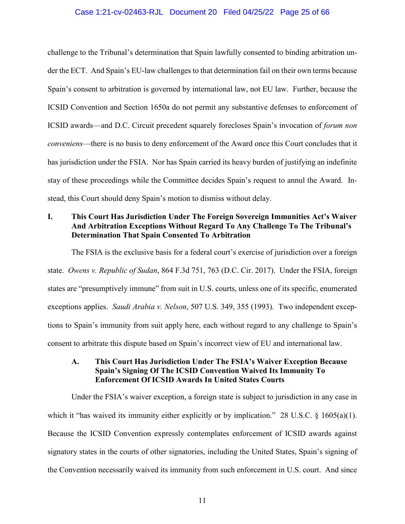## Case 1:21-cv-02463-RJL Document 20 Filed 04/25/22 Page 25 of 66

challenge to the Tribunal's determination that Spain lawfully consented to binding arbitration under the ECT. And Spain's EU-law challenges to that determination fail on their own terms because Spain's consent to arbitration is governed by international law, not EU law. Further, because the ICSID Convention and Section 1650a do not permit any substantive defenses to enforcement of ICSID awards—and D.C. Circuit precedent squarely forecloses Spain's invocation of *forum non conveniens*—there is no basis to deny enforcement of the Award once this Court concludes that it has jurisdiction under the FSIA. Nor has Spain carried its heavy burden of justifying an indefinite stay of these proceedings while the Committee decides Spain's request to annul the Award. Instead, this Court should deny Spain's motion to dismiss without delay.

## <span id="page-24-0"></span>**I. This Court Has Jurisdiction Under The Foreign Sovereign Immunities Act's Waiver And Arbitration Exceptions Without Regard To Any Challenge To The Tribunal's Determination That Spain Consented To Arbitration**

<span id="page-24-2"></span>The FSIA is the exclusive basis for a federal court's exercise of jurisdiction over a foreign state. *Owens v. Republic of Sudan*, 864 F.3d 751, 763 (D.C. Cir. 2017). Under the FSIA, foreign states are "presumptively immune" from suit in U.S. courts, unless one of its specific, enumerated exceptions applies. *Saudi Arabia v. Nelson*, 507 U.S. 349, 355 (1993). Two independent exceptions to Spain's immunity from suit apply here, each without regard to any challenge to Spain's consent to arbitrate this dispute based on Spain's incorrect view of EU and international law.

## <span id="page-24-1"></span>**A. This Court Has Jurisdiction Under The FSIA's Waiver Exception Because Spain's Signing Of The ICSID Convention Waived Its Immunity To Enforcement Of ICSID Awards In United States Courts**

Under the FSIA's waiver exception, a foreign state is subject to jurisdiction in any case in which it "has waived its immunity either explicitly or by implication." 28 U.S.C. § 1605(a)(1). Because the ICSID Convention expressly contemplates enforcement of ICSID awards against signatory states in the courts of other signatories, including the United States, Spain's signing of the Convention necessarily waived its immunity from such enforcement in U.S. court. And since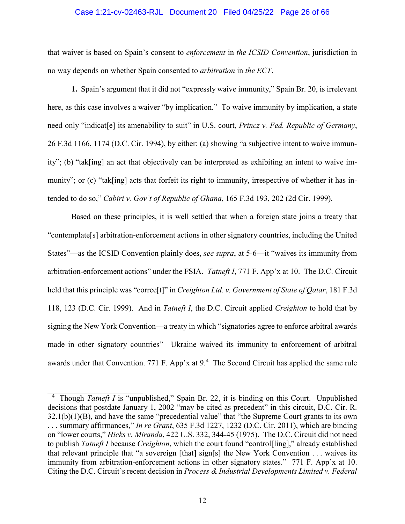## Case 1:21-cv-02463-RJL Document 20 Filed 04/25/22 Page 26 of 66

that waiver is based on Spain's consent to *enforcement* in *the ICSID Convention*, jurisdiction in no way depends on whether Spain consented to *arbitration* in *the ECT*.

**1.** Spain's argument that it did not "expressly waive immunity," Spain Br. 20, is irrelevant here, as this case involves a waiver "by implication." To waive immunity by implication, a state need only "indicat[e] its amenability to suit" in U.S. court, *Princz v. Fed. Republic of Germany*, 26 F.3d 1166, 1174 (D.C. Cir. 1994), by either: (a) showing "a subjective intent to waive immunity"; (b) "tak[ing] an act that objectively can be interpreted as exhibiting an intent to waive immunity"; or (c) "tak[ing] acts that forfeit its right to immunity, irrespective of whether it has intended to do so," *Cabiri v. Gov't of Republic of Ghana*, 165 F.3d 193, 202 (2d Cir. 1999).

Based on these principles, it is well settled that when a foreign state joins a treaty that "contemplate[s] arbitration-enforcement actions in other signatory countries, including the United States"—as the ICSID Convention plainly does, *see supra*, at 5-6—it "waives its immunity from arbitration-enforcement actions" under the FSIA. *Tatneft I*, 771 F. App'x at 10. The D.C. Circuit held that this principle was "correc[t]" in *Creighton Ltd. v. Government of State of Qatar*, 181 F.3d 118, 123 (D.C. Cir. 1999). And in *Tatneft I*, the D.C. Circuit applied *Creighton* to hold that by signing the New York Convention—a treaty in which "signatories agree to enforce arbitral awards made in other signatory countries"—Ukraine waived its immunity to enforcement of arbitral awards under that Convention. 771 F. App'x at 9.<sup>[4](#page-25-0)</sup> The Second Circuit has applied the same rule

<span id="page-25-0"></span><sup>&</sup>lt;sup>4</sup> Though *Tatneft I* is "unpublished," Spain Br. 22, it is binding on this Court. Unpublished decisions that postdate January 1, 2002 "may be cited as precedent" in this circuit, D.C. Cir. R.  $32.1(b)(1)(B)$ , and have the same "precedential value" that "the Supreme Court grants to its own . . . summary affirmances," *In re Grant*, 635 F.3d 1227, 1232 (D.C. Cir. 2011), which are binding on "lower courts," *Hicks v. Miranda*, 422 U.S. 332, 344-45 (1975). The D.C. Circuit did not need to publish *Tatneft I* because *Creighton*, which the court found "control[ling]," already established that relevant principle that "a sovereign [that] sign[s] the New York Convention . . . waives its immunity from arbitration-enforcement actions in other signatory states." 771 F. App'x at 10. Citing the D.C. Circuit's recent decision in *Process & Industrial Developments Limited v. Federal*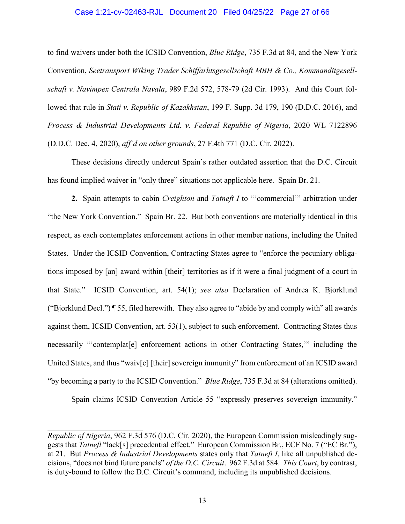## Case 1:21-cv-02463-RJL Document 20 Filed 04/25/22 Page 27 of 66

to find waivers under both the ICSID Convention, *Blue Ridge*, 735 F.3d at 84, and the New York Convention, *Seetransport Wiking Trader Schiffarhtsgesellschaft MBH & Co., Kommanditgesellschaft v. Navimpex Centrala Navala*, 989 F.2d 572, 578-79 (2d Cir. 1993). And this Court followed that rule in *Stati v. Republic of Kazakhstan*, 199 F. Supp. 3d 179, 190 (D.D.C. 2016), and *Process & Industrial Developments Ltd. v. Federal Republic of Nigeria*, 2020 WL 7122896 (D.D.C. Dec. 4, 2020), *aff'd on other grounds*, 27 F.4th 771 (D.C. Cir. 2022).

These decisions directly undercut Spain's rather outdated assertion that the D.C. Circuit has found implied waiver in "only three" situations not applicable here. Spain Br. 21.

**2.** Spain attempts to cabin *Creighton* and *Tatneft I* to "'commercial'" arbitration under "the New York Convention." Spain Br. 22. But both conventions are materially identical in this respect, as each contemplates enforcement actions in other member nations, including the United States. Under the ICSID Convention, Contracting States agree to "enforce the pecuniary obligations imposed by [an] award within [their] territories as if it were a final judgment of a court in that State." ICSID Convention, art. 54(1); *see also* Declaration of Andrea K. Bjorklund ("Bjorklund Decl.") ¶ 55, filed herewith. They also agree to "abide by and comply with" all awards against them, ICSID Convention, art. 53(1), subject to such enforcement. Contracting States thus necessarily "'contemplat[e] enforcement actions in other Contracting States,'" including the United States, and thus "waiv[e] [their] sovereign immunity" from enforcement of an ICSID award "by becoming a party to the ICSID Convention." *Blue Ridge*, 735 F.3d at 84 (alterations omitted).

Spain claims ICSID Convention Article 55 "expressly preserves sovereign immunity."

*Republic of Nigeria*, 962 F.3d 576 (D.C. Cir. 2020), the European Commission misleadingly suggests that *Tatneft* "lack[s] precedential effect." European Commission Br., ECF No. 7 ("EC Br."), at 21. But *Process & Industrial Developments* states only that *Tatneft I*, like all unpublished decisions, "does not bind future panels" *of the D.C. Circuit*. 962 F.3d at 584. *This Court*, by contrast, is duty-bound to follow the D.C. Circuit's command, including its unpublished decisions.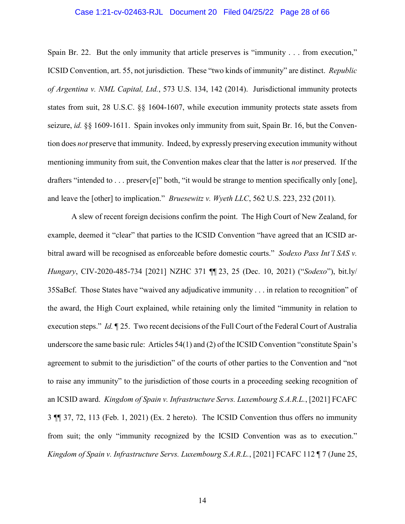## Case 1:21-cv-02463-RJL Document 20 Filed 04/25/22 Page 28 of 66

Spain Br. 22. But the only immunity that article preserves is "immunity . . . from execution," ICSID Convention, art. 55, not jurisdiction. These "two kinds of immunity" are distinct. *Republic of Argentina v. NML Capital, Ltd.*, 573 U.S. 134, 142 (2014). Jurisdictional immunity protects states from suit, 28 U.S.C. §§ 1604-1607, while execution immunity protects state assets from seizure, *id.* §§ 1609-1611. Spain invokes only immunity from suit, Spain Br. 16, but the Convention does *not* preserve that immunity. Indeed, by expressly preserving execution immunity without mentioning immunity from suit, the Convention makes clear that the latter is *not* preserved. If the drafters "intended to . . . preserv[e]" both, "it would be strange to mention specifically only [one], and leave the [other] to implication." *Bruesewitz v. Wyeth LLC*, 562 U.S. 223, 232 (2011).

A slew of recent foreign decisions confirm the point. The High Court of New Zealand, for example, deemed it "clear" that parties to the ICSID Convention "have agreed that an ICSID arbitral award will be recognised as enforceable before domestic courts." *Sodexo Pass Int'l SAS v. Hungary*, CIV-2020-485-734 [2021] NZHC 371 ¶¶ 23, 25 (Dec. 10, 2021) ("*Sodexo*"), bit.ly/ 35SaBcf. Those States have "waived any adjudicative immunity . . . in relation to recognition" of the award, the High Court explained, while retaining only the limited "immunity in relation to execution steps." *Id.* ¶ 25. Two recent decisions of the Full Court of the Federal Court of Australia underscore the same basic rule: Articles 54(1) and (2) of the ICSID Convention "constitute Spain's agreement to submit to the jurisdiction" of the courts of other parties to the Convention and "not to raise any immunity" to the jurisdiction of those courts in a proceeding seeking recognition of an ICSID award. *Kingdom of Spain v. Infrastructure Servs. Luxembourg S.A.R.L.*, [2021] FCAFC 3 ¶¶ 37, 72, 113 (Feb. 1, 2021) (Ex. 2 hereto). The ICSID Convention thus offers no immunity from suit; the only "immunity recognized by the ICSID Convention was as to execution." *Kingdom of Spain v. Infrastructure Servs. Luxembourg S.A.R.L.*, [2021] FCAFC 112 ¶ 7 (June 25,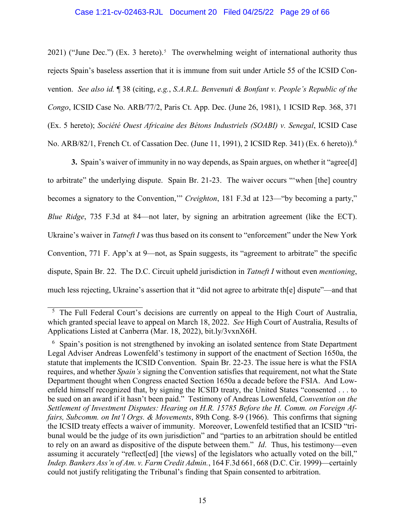## Case 1:21-cv-02463-RJL Document 20 Filed 04/25/22 Page 29 of 66

2021) ("June Dec.") (Ex. 3 hereto).<sup>[5](#page-28-0)</sup> The overwhelming weight of international authority thus rejects Spain's baseless assertion that it is immune from suit under Article 55 of the ICSID Convention. *See also id.* ¶ 38 (citing, *e.g.*, *S.A.R.L. Benvenuti & Bonfant v. People's Republic of the Congo*, ICSID Case No. ARB/77/2, Paris Ct. App. Dec. (June 26, 1981), 1 ICSID Rep. 368, 371 (Ex. 5 hereto); *Société Ouest Africaine des Bétons Industriels (SOABI) v. Senegal*, ICSID Case No. ARB/82/1, French Ct. of Cassation Dec. (June 11, 1991), 2 ICSID Rep. 341) (Ex. [6](#page-28-1) hereto)).<sup>6</sup>

**3.** Spain's waiver of immunity in no way depends, as Spain argues, on whether it "agree[d] to arbitrate" the underlying dispute. Spain Br. 21-23. The waiver occurs "'when [the] country becomes a signatory to the Convention,'" *Creighton*, 181 F.3d at 123—"by becoming a party," *Blue Ridge*, 735 F.3d at 84—not later, by signing an arbitration agreement (like the ECT). Ukraine's waiver in *Tatneft I* was thus based on its consent to "enforcement" under the New York Convention, 771 F. App'x at 9—not, as Spain suggests, its "agreement to arbitrate" the specific dispute, Spain Br. 22. The D.C. Circuit upheld jurisdiction in *Tatneft I* without even *mentioning*, much less rejecting, Ukraine's assertion that it "did not agree to arbitrate th[e] dispute"—and that

<span id="page-28-0"></span><sup>&</sup>lt;sup>5</sup> The Full Federal Court's decisions are currently on appeal to the High Court of Australia, which granted special leave to appeal on March 18, 2022. *See* High Court of Australia, Results of Applications Listed at Canberra (Mar. 18, 2022), bit.ly/3vxnX6H.

<span id="page-28-1"></span><sup>6</sup> Spain's position is not strengthened by invoking an isolated sentence from State Department Legal Adviser Andreas Lowenfeld's testimony in support of the enactment of Section 1650a, the statute that implements the ICSID Convention. Spain Br. 22-23. The issue here is what the FSIA requires, and whether *Spain's* signing the Convention satisfies that requirement, not what the State Department thought when Congress enacted Section 1650a a decade before the FSIA. And Lowenfeld himself recognized that, by signing the ICSID treaty, the United States "consented . . . to be sued on an award if it hasn't been paid." Testimony of Andreas Lowenfeld, *Convention on the Settlement of Investment Disputes: Hearing on H.R. 15785 Before the H. Comm. on Foreign Affairs, Subcomm. on Int'l Orgs. & Movements*, 89th Cong. 8-9 (1966). This confirms that signing the ICSID treaty effects a waiver of immunity. Moreover, Lowenfeld testified that an ICSID "tribunal would be the judge of its own jurisdiction" and "parties to an arbitration should be entitled to rely on an award as dispositive of the dispute between them." *Id*. Thus, his testimony—even assuming it accurately "reflect[ed] [the views] of the legislators who actually voted on the bill," *Indep. Bankers Ass'n of Am. v. Farm Credit Admin.*, 164 F.3d 661, 668 (D.C. Cir. 1999)—certainly could not justify relitigating the Tribunal's finding that Spain consented to arbitration.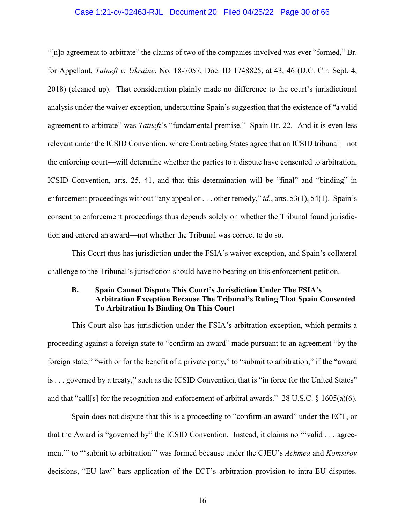## Case 1:21-cv-02463-RJL Document 20 Filed 04/25/22 Page 30 of 66

"[n]o agreement to arbitrate" the claims of two of the companies involved was ever "formed," Br. for Appellant, *Tatneft v. Ukraine*, No. 18-7057, Doc. ID 1748825, at 43, 46 (D.C. Cir. Sept. 4, 2018) (cleaned up). That consideration plainly made no difference to the court's jurisdictional analysis under the waiver exception, undercutting Spain's suggestion that the existence of "a valid agreement to arbitrate" was *Tatneft*'s "fundamental premise." Spain Br. 22. And it is even less relevant under the ICSID Convention, where Contracting States agree that an ICSID tribunal—not the enforcing court—will determine whether the parties to a dispute have consented to arbitration, ICSID Convention, arts. 25, 41, and that this determination will be "final" and "binding" in enforcement proceedings without "any appeal or . . . other remedy," *id.*, arts. 53(1), 54(1). Spain's consent to enforcement proceedings thus depends solely on whether the Tribunal found jurisdiction and entered an award—not whether the Tribunal was correct to do so.

This Court thus has jurisdiction under the FSIA's waiver exception, and Spain's collateral challenge to the Tribunal's jurisdiction should have no bearing on this enforcement petition.

## <span id="page-29-0"></span>**B. Spain Cannot Dispute This Court's Jurisdiction Under The FSIA's Arbitration Exception Because The Tribunal's Ruling That Spain Consented To Arbitration Is Binding On This Court**

This Court also has jurisdiction under the FSIA's arbitration exception, which permits a proceeding against a foreign state to "confirm an award" made pursuant to an agreement "by the foreign state," "with or for the benefit of a private party," to "submit to arbitration," if the "award is . . . governed by a treaty," such as the ICSID Convention, that is "in force for the United States" and that "call[s] for the recognition and enforcement of arbitral awards." 28 U.S.C. § 1605(a)(6).

Spain does not dispute that this is a proceeding to "confirm an award" under the ECT, or that the Award is "governed by" the ICSID Convention. Instead, it claims no "'valid . . . agreement'" to "'submit to arbitration'" was formed because under the CJEU's *Achmea* and *Komstroy*  decisions, "EU law" bars application of the ECT's arbitration provision to intra-EU disputes.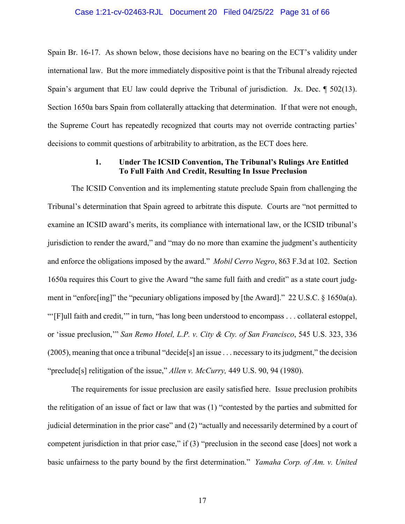Spain Br. 16-17. As shown below, those decisions have no bearing on the ECT's validity under international law. But the more immediately dispositive point is that the Tribunal already rejected Spain's argument that EU law could deprive the Tribunal of jurisdiction. Jx. Dec. ¶ 502(13). Section 1650a bars Spain from collaterally attacking that determination. If that were not enough, the Supreme Court has repeatedly recognized that courts may not override contracting parties' decisions to commit questions of arbitrability to arbitration, as the ECT does here.

## **1. Under The ICSID Convention, The Tribunal's Rulings Are Entitled To Full Faith And Credit, Resulting In Issue Preclusion**

<span id="page-30-0"></span>The ICSID Convention and its implementing statute preclude Spain from challenging the Tribunal's determination that Spain agreed to arbitrate this dispute. Courts are "not permitted to examine an ICSID award's merits, its compliance with international law, or the ICSID tribunal's jurisdiction to render the award," and "may do no more than examine the judgment's authenticity and enforce the obligations imposed by the award." *Mobil Cerro Negro*, 863 F.3d at 102. Section 1650a requires this Court to give the Award "the same full faith and credit" as a state court judgment in "enforc[ing]" the "pecuniary obligations imposed by [the Award]." 22 U.S.C. § 1650a(a). "'[F]ull faith and credit,'" in turn, "has long been understood to encompass . . . collateral estoppel, or 'issue preclusion,'" *San Remo Hotel, L.P. v. City & Cty. of San Francisco*, 545 U.S. 323, 336 (2005), meaning that once a tribunal "decide[s] an issue . . . necessary to its judgment," the decision "preclude[s] relitigation of the issue," *Allen v. McCurry,* 449 U.S. 90, 94 (1980).

The requirements for issue preclusion are easily satisfied here. Issue preclusion prohibits the relitigation of an issue of fact or law that was (1) "contested by the parties and submitted for judicial determination in the prior case" and (2) "actually and necessarily determined by a court of competent jurisdiction in that prior case," if (3) "preclusion in the second case [does] not work a basic unfairness to the party bound by the first determination." *Yamaha Corp. of Am. v. United*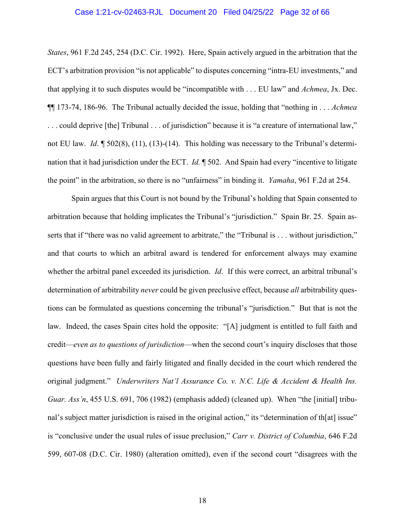## Case 1:21-cv-02463-RJL Document 20 Filed 04/25/22 Page 32 of 66

*States*, 961 F.2d 245, 254 (D.C. Cir. 1992). Here, Spain actively argued in the arbitration that the ECT's arbitration provision "is not applicable" to disputes concerning "intra-EU investments," and that applying it to such disputes would be "incompatible with . . . EU law" and *Achmea*, Jx. Dec. ¶¶ 173-74, 186-96. The Tribunal actually decided the issue, holding that "nothing in . . . *Achmea*  . . . could deprive [the] Tribunal . . . of jurisdiction" because it is "a creature of international law," not EU law. *Id*. ¶ 502(8), (11), (13)-(14). This holding was necessary to the Tribunal's determination that it had jurisdiction under the ECT. *Id.* ¶ 502. And Spain had every "incentive to litigate the point" in the arbitration, so there is no "unfairness" in binding it. *Yamaha*, 961 F.2d at 254.

Spain argues that this Court is not bound by the Tribunal's holding that Spain consented to arbitration because that holding implicates the Tribunal's "jurisdiction." Spain Br. 25. Spain asserts that if "there was no valid agreement to arbitrate," the "Tribunal is . . . without jurisdiction," and that courts to which an arbitral award is tendered for enforcement always may examine whether the arbitral panel exceeded its jurisdiction. *Id*. If this were correct, an arbitral tribunal's determination of arbitrability *never* could be given preclusive effect, because *all* arbitrability questions can be formulated as questions concerning the tribunal's "jurisdiction." But that is not the law. Indeed, the cases Spain cites hold the opposite: "[A] judgment is entitled to full faith and credit—*even as to questions of jurisdiction*—when the second court's inquiry discloses that those questions have been fully and fairly litigated and finally decided in the court which rendered the original judgment." *Underwriters Nat'l Assurance Co. v. N.C. Life & Accident & Health Ins. Guar. Ass'n*, 455 U.S. 691, 706 (1982) (emphasis added) (cleaned up). When "the [initial] tribunal's subject matter jurisdiction is raised in the original action," its "determination of th[at] issue" is "conclusive under the usual rules of issue preclusion," *Carr v. District of Columbia*, 646 F.2d 599, 607-08 (D.C. Cir. 1980) (alteration omitted), even if the second court "disagrees with the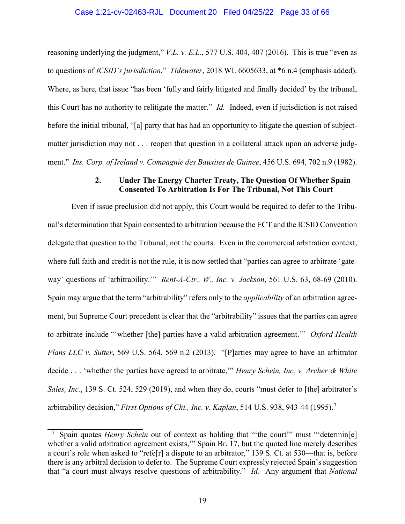reasoning underlying the judgment," *V.L. v. E.L.*, 577 U.S. 404, 407 (2016). This is true "even as to questions of *ICSID's jurisdiction*." *Tidewater*, 2018 WL 6605633, at \*6 n.4 (emphasis added). Where, as here, that issue "has been 'fully and fairly litigated and finally decided' by the tribunal, this Court has no authority to relitigate the matter." *Id.* Indeed, even if jurisdiction is not raised before the initial tribunal, "[a] party that has had an opportunity to litigate the question of subjectmatter jurisdiction may not . . . reopen that question in a collateral attack upon an adverse judgment." *Ins. Corp. of Ireland v. Compagnie des Bauxites de Guinee*, 456 U.S. 694, 702 n.9 (1982).

## **2. Under The Energy Charter Treaty, The Question Of Whether Spain Consented To Arbitration Is For The Tribunal, Not This Court**

<span id="page-32-0"></span>Even if issue preclusion did not apply, this Court would be required to defer to the Tribunal's determination that Spain consented to arbitration because the ECT and the ICSID Convention delegate that question to the Tribunal, not the courts. Even in the commercial arbitration context, where full faith and credit is not the rule, it is now settled that "parties can agree to arbitrate 'gateway' questions of 'arbitrability.'" *Rent-A-Ctr., W., Inc. v. Jackson*, 561 U.S. 63, 68-69 (2010). Spain may argue that the term "arbitrability" refers only to the *applicability* of an arbitration agreement, but Supreme Court precedent is clear that the "arbitrability" issues that the parties can agree to arbitrate include "'whether [the] parties have a valid arbitration agreement.'" *Oxford Health Plans LLC v. Sutter*, 569 U.S. 564, 569 n.2 (2013). "[P]arties may agree to have an arbitrator decide . . . 'whether the parties have agreed to arbitrate,'" *Henry Schein, Inc. v. Archer & White Sales, Inc.*, 139 S. Ct. 524, 529 (2019), and when they do, courts "must defer to [the] arbitrator's arbitrability decision," *First Options of Chi., Inc. v. Kaplan*, 514 U.S. 938, 943-44 (1995).[7](#page-32-1)

<span id="page-32-1"></span>Spain quotes *Henry Schein* out of context as holding that "the court" must "'determin<sup>[e]</sup> whether a valid arbitration agreement exists,'" Spain Br. 17, but the quoted line merely describes a court's role when asked to "refe[r] a dispute to an arbitrator," 139 S. Ct. at 530—that is, before there is any arbitral decision to defer to. The Supreme Court expressly rejected Spain's suggestion that "a court must always resolve questions of arbitrability." *Id.* Any argument that *National*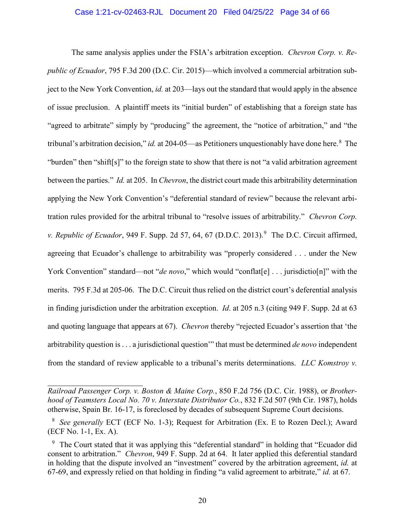## Case 1:21-cv-02463-RJL Document 20 Filed 04/25/22 Page 34 of 66

The same analysis applies under the FSIA's arbitration exception. *Chevron Corp. v. Republic of Ecuador*, 795 F.3d 200 (D.C. Cir. 2015)—which involved a commercial arbitration subject to the New York Convention, *id.* at 203—lays out the standard that would apply in the absence of issue preclusion. A plaintiff meets its "initial burden" of establishing that a foreign state has "agreed to arbitrate" simply by "producing" the agreement, the "notice of arbitration," and "the tribunal's arbitration decision," *id.* at 204-05—as Petitioners unquestionably have done here.<sup>[8](#page-33-0)</sup> The "burden" then "shift[s]" to the foreign state to show that there is not "a valid arbitration agreement between the parties." *Id.* at 205. In *Chevron*, the district court made this arbitrability determination applying the New York Convention's "deferential standard of review" because the relevant arbitration rules provided for the arbitral tribunal to "resolve issues of arbitrability." *Chevron Corp. v. Republic of Ecuador*, [9](#page-33-1)49 F. Supp. 2d 57, 64, 67 (D.D.C. 2013).<sup>9</sup> The D.C. Circuit affirmed, agreeing that Ecuador's challenge to arbitrability was "properly considered . . . under the New York Convention" standard—not "*de novo*," which would "conflat[e] . . . jurisdictio[n]" with the merits. 795 F.3d at 205-06. The D.C. Circuit thus relied on the district court's deferential analysis in finding jurisdiction under the arbitration exception. *Id*. at 205 n.3 (citing 949 F. Supp. 2d at 63 and quoting language that appears at 67). *Chevron* thereby "rejected Ecuador's assertion that 'the arbitrability question is . . . a jurisdictional question'" that must be determined *de novo* independent from the standard of review applicable to a tribunal's merits determinations. *LLC Komstroy v.* 

*Railroad Passenger Corp. v. Boston & Maine Corp.*, 850 F.2d 756 (D.C. Cir. 1988), or *Brotherhood of Teamsters Local No. 70 v. Interstate Distributor Co.*, 832 F.2d 507 (9th Cir. 1987), holds otherwise, Spain Br. 16-17, is foreclosed by decades of subsequent Supreme Court decisions.

<span id="page-33-0"></span><sup>8</sup> *See generally* ECT (ECF No. 1-3); Request for Arbitration (Ex. E to Rozen Decl.); Award (ECF No. 1-1, Ex. A).

<span id="page-33-1"></span><sup>&</sup>lt;sup>9</sup> The Court stated that it was applying this "deferential standard" in holding that "Ecuador did consent to arbitration." *Chevron*, 949 F. Supp. 2d at 64. It later applied this deferential standard in holding that the dispute involved an "investment" covered by the arbitration agreement, *id.* at 67-69, and expressly relied on that holding in finding "a valid agreement to arbitrate," *id.* at 67.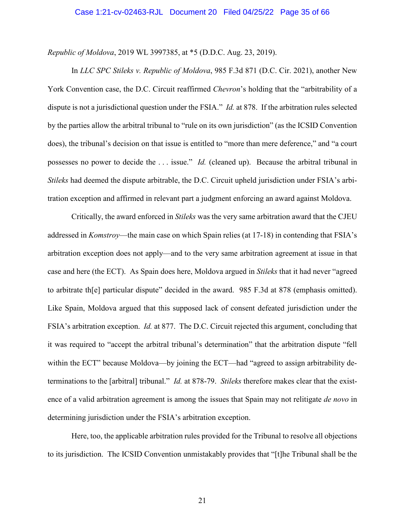*Republic of Moldova*, 2019 WL 3997385, at \*5 (D.D.C. Aug. 23, 2019).

In *LLC SPC Stileks v. Republic of Moldova*, 985 F.3d 871 (D.C. Cir. 2021), another New York Convention case, the D.C. Circuit reaffirmed *Chevron*'s holding that the "arbitrability of a dispute is not a jurisdictional question under the FSIA." *Id.* at 878. If the arbitration rules selected by the parties allow the arbitral tribunal to "rule on its own jurisdiction" (as the ICSID Convention does), the tribunal's decision on that issue is entitled to "more than mere deference," and "a court possesses no power to decide the . . . issue." *Id.* (cleaned up). Because the arbitral tribunal in *Stileks* had deemed the dispute arbitrable, the D.C. Circuit upheld jurisdiction under FSIA's arbitration exception and affirmed in relevant part a judgment enforcing an award against Moldova.

Critically, the award enforced in *Stileks* was the very same arbitration award that the CJEU addressed in *Komstroy*—the main case on which Spain relies (at 17-18) in contending that FSIA's arbitration exception does not apply—and to the very same arbitration agreement at issue in that case and here (the ECT). As Spain does here, Moldova argued in *Stileks* that it had never "agreed to arbitrate th[e] particular dispute" decided in the award. 985 F.3d at 878 (emphasis omitted). Like Spain, Moldova argued that this supposed lack of consent defeated jurisdiction under the FSIA's arbitration exception. *Id.* at 877. The D.C. Circuit rejected this argument, concluding that it was required to "accept the arbitral tribunal's determination" that the arbitration dispute "fell within the ECT" because Moldova—by joining the ECT—had "agreed to assign arbitrability determinations to the [arbitral] tribunal." *Id.* at 878-79. *Stileks* therefore makes clear that the existence of a valid arbitration agreement is among the issues that Spain may not relitigate *de novo* in determining jurisdiction under the FSIA's arbitration exception.

Here, too, the applicable arbitration rules provided for the Tribunal to resolve all objections to its jurisdiction. The ICSID Convention unmistakably provides that "[t]he Tribunal shall be the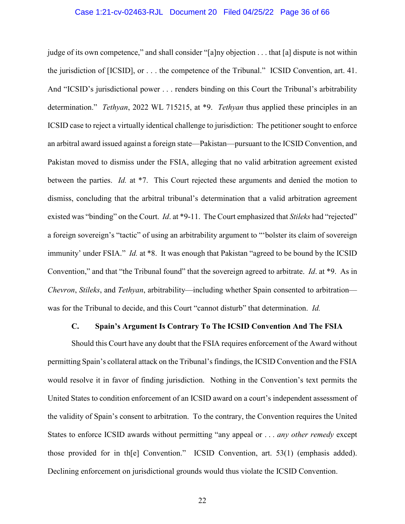## Case 1:21-cv-02463-RJL Document 20 Filed 04/25/22 Page 36 of 66

judge of its own competence," and shall consider "[a]ny objection . . . that [a] dispute is not within the jurisdiction of [ICSID], or . . . the competence of the Tribunal." ICSID Convention, art. 41. And "ICSID's jurisdictional power . . . renders binding on this Court the Tribunal's arbitrability determination." *Tethyan*, 2022 WL 715215, at \*9. *Tethyan* thus applied these principles in an ICSID case to reject a virtually identical challenge to jurisdiction: The petitioner sought to enforce an arbitral award issued against a foreign state—Pakistan—pursuant to the ICSID Convention, and Pakistan moved to dismiss under the FSIA, alleging that no valid arbitration agreement existed between the parties. *Id.* at \*7. This Court rejected these arguments and denied the motion to dismiss, concluding that the arbitral tribunal's determination that a valid arbitration agreement existed was "binding" on the Court. *Id*. at \*9-11. The Court emphasized that *Stileks* had "rejected" a foreign sovereign's "tactic" of using an arbitrability argument to "'bolster its claim of sovereign immunity' under FSIA." *Id.* at \*8. It was enough that Pakistan "agreed to be bound by the ICSID Convention," and that "the Tribunal found" that the sovereign agreed to arbitrate. *Id*. at \*9. As in *Chevron*, *Stileks*, and *Tethyan*, arbitrability—including whether Spain consented to arbitration was for the Tribunal to decide, and this Court "cannot disturb" that determination. *Id.*

#### <span id="page-35-1"></span>**C. Spain's Argument Is Contrary To The ICSID Convention And The FSIA**

<span id="page-35-0"></span>Should this Court have any doubt that the FSIA requires enforcement of the Award without permitting Spain's collateral attack on the Tribunal's findings, the ICSID Convention and the FSIA would resolve it in favor of finding jurisdiction. Nothing in the Convention's text permits the United States to condition enforcement of an ICSID award on a court's independent assessment of the validity of Spain's consent to arbitration. To the contrary, the Convention requires the United States to enforce ICSID awards without permitting "any appeal or . . . *any other remedy* except those provided for in th[e] Convention." ICSID Convention, art. 53(1) (emphasis added). Declining enforcement on jurisdictional grounds would thus violate the ICSID Convention.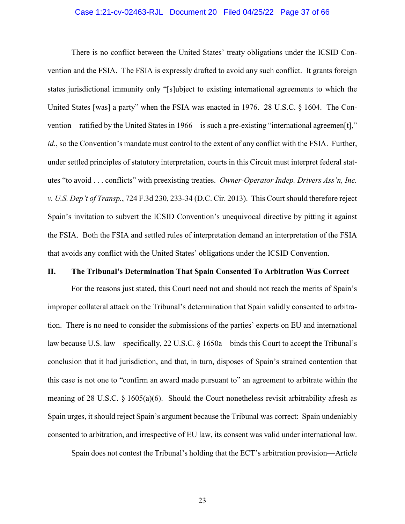## <span id="page-36-2"></span><span id="page-36-1"></span>Case 1:21-cv-02463-RJL Document 20 Filed 04/25/22 Page 37 of 66

There is no conflict between the United States' treaty obligations under the ICSID Convention and the FSIA. The FSIA is expressly drafted to avoid any such conflict. It grants foreign states jurisdictional immunity only "[s]ubject to existing international agreements to which the United States [was] a party" when the FSIA was enacted in 1976. 28 U.S.C. § 1604. The Convention—ratified by the United States in 1966—is such a pre-existing "international agreemen[t]," *id.*, so the Convention's mandate must control to the extent of any conflict with the FSIA. Further, under settled principles of statutory interpretation, courts in this Circuit must interpret federal statutes "to avoid . . . conflicts" with preexisting treaties. *Owner-Operator Indep. Drivers Ass'n, Inc. v. U.S. Dep't of Transp.*, 724 F.3d 230, 233-34 (D.C. Cir. 2013). This Court should therefore reject Spain's invitation to subvert the ICSID Convention's unequivocal directive by pitting it against the FSIA. Both the FSIA and settled rules of interpretation demand an interpretation of the FSIA that avoids any conflict with the United States' obligations under the ICSID Convention.

### <span id="page-36-0"></span>**II. The Tribunal's Determination That Spain Consented To Arbitration Was Correct**

For the reasons just stated, this Court need not and should not reach the merits of Spain's improper collateral attack on the Tribunal's determination that Spain validly consented to arbitration. There is no need to consider the submissions of the parties' experts on EU and international law because U.S. law—specifically, 22 U.S.C. § 1650a—binds this Court to accept the Tribunal's conclusion that it had jurisdiction, and that, in turn, disposes of Spain's strained contention that this case is not one to "confirm an award made pursuant to" an agreement to arbitrate within the meaning of 28 U.S.C.  $\S$  1605(a)(6). Should the Court nonetheless revisit arbitrability afresh as Spain urges, it should reject Spain's argument because the Tribunal was correct: Spain undeniably consented to arbitration, and irrespective of EU law, its consent was valid under international law.

Spain does not contest the Tribunal's holding that the ECT's arbitration provision—Article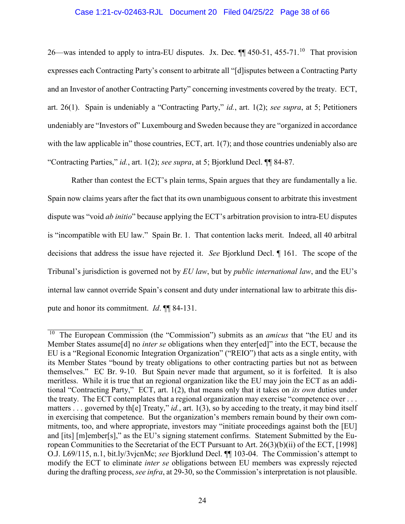## Case 1:21-cv-02463-RJL Document 20 Filed 04/25/22 Page 38 of 66

26—was intended to apply to intra-EU disputes. Jx. Dec.  $\P$  450-51, 455-71.<sup>[10](#page-37-0)</sup> That provision expresses each Contracting Party's consent to arbitrate all "[d]isputes between a Contracting Party and an Investor of another Contracting Party" concerning investments covered by the treaty. ECT, art. 26(1). Spain is undeniably a "Contracting Party," *id.*, art. 1(2); *see supra*, at 5; Petitioners undeniably are "Investors of" Luxembourg and Sweden because they are "organized in accordance with the law applicable in" those countries, ECT, art. 1(7); and those countries undeniably also are "Contracting Parties," *id.*, art. 1(2); *see supra*, at 5; Bjorklund Decl. ¶¶ 84-87.

Rather than contest the ECT's plain terms, Spain argues that they are fundamentally a lie. Spain now claims years after the fact that its own unambiguous consent to arbitrate this investment dispute was "void *ab initio*" because applying the ECT's arbitration provision to intra-EU disputes is "incompatible with EU law." Spain Br. 1. That contention lacks merit. Indeed, all 40 arbitral decisions that address the issue have rejected it. *See* Bjorklund Decl. ¶ 161. The scope of the Tribunal's jurisdiction is governed not by *EU law*, but by *public international law*, and the EU's internal law cannot override Spain's consent and duty under international law to arbitrate this dispute and honor its commitment. *Id*. ¶¶ 84-131.

<span id="page-37-0"></span><sup>&</sup>lt;sup>10</sup> The European Commission (the "Commission") submits as an *amicus* that "the EU and its Member States assume[d] no *inter se* obligations when they enter[ed]" into the ECT, because the EU is a "Regional Economic Integration Organization" ("REIO") that acts as a single entity, with its Member States "bound by treaty obligations to other contracting parties but not as between themselves." EC Br. 9-10. But Spain never made that argument, so it is forfeited. It is also meritless. While it is true that an regional organization like the EU may join the ECT as an additional "Contracting Party," ECT, art. 1(2), that means only that it takes on *its own* duties under the treaty. The ECT contemplates that a regional organization may exercise "competence over . . . matters . . . governed by th[e] Treaty," *id.*, art. 1(3), so by acceding to the treaty, it may bind itself in exercising that competence. But the organization's members remain bound by their own commitments, too, and where appropriate, investors may "initiate proceedings against both the [EU] and [its] [m]ember[s]," as the EU's signing statement confirms. Statement Submitted by the European Communities to the Secretariat of the ECT Pursuant to Art. 26(3)(b)(ii) of the ECT, [1998] O.J. L69/115, n.1, bit.ly/3vjcnMc; *see* Bjorklund Decl. ¶¶ 103-04. The Commission's attempt to modify the ECT to eliminate *inter se* obligations between EU members was expressly rejected during the drafting process, *see infra*, at 29-30, so the Commission's interpretation is not plausible.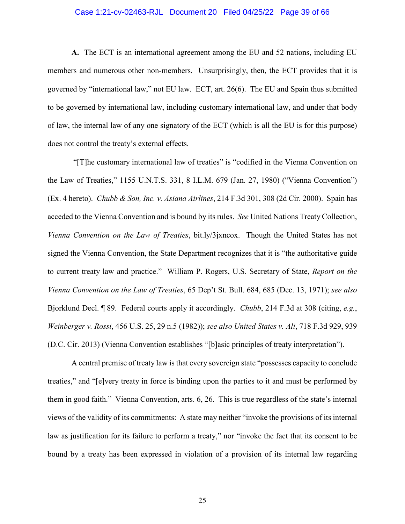## Case 1:21-cv-02463-RJL Document 20 Filed 04/25/22 Page 39 of 66

**A.** The ECT is an international agreement among the EU and 52 nations, including EU members and numerous other non-members. Unsurprisingly, then, the ECT provides that it is governed by "international law," not EU law. ECT, art. 26(6). The EU and Spain thus submitted to be governed by international law, including customary international law, and under that body of law, the internal law of any one signatory of the ECT (which is all the EU is for this purpose) does not control the treaty's external effects.

"[T]he customary international law of treaties" is "codified in the Vienna Convention on the Law of Treaties," 1155 U.N.T.S. 331, 8 I.L.M. 679 (Jan. 27, 1980) ("Vienna Convention") (Ex. 4 hereto). *Chubb & Son, Inc. v. Asiana Airlines*, 214 F.3d 301, 308 (2d Cir. 2000). Spain has acceded to the Vienna Convention and is bound by its rules. *See* United Nations Treaty Collection, *Vienna Convention on the Law of Treaties*, bit.ly/3jxncox. Though the United States has not signed the Vienna Convention, the State Department recognizes that it is "the authoritative guide to current treaty law and practice." William P. Rogers, U.S. Secretary of State, *Report on the Vienna Convention on the Law of Treaties*, 65 Dep't St. Bull. 684, 685 (Dec. 13, 1971); *see also*  Bjorklund Decl. ¶ 89. Federal courts apply it accordingly. *Chubb*, 214 F.3d at 308 (citing, *e.g.*, *Weinberger v. Rossi*, 456 U.S. 25, 29 n.5 (1982)); *see also United States v. Ali*, 718 F.3d 929, 939 (D.C. Cir. 2013) (Vienna Convention establishes "[b]asic principles of treaty interpretation").

A central premise of treaty law is that every sovereign state "possesses capacity to conclude treaties," and "[e]very treaty in force is binding upon the parties to it and must be performed by them in good faith." Vienna Convention, arts. 6, 26. This is true regardless of the state's internal views of the validity of its commitments: A state may neither "invoke the provisions of its internal law as justification for its failure to perform a treaty," nor "invoke the fact that its consent to be bound by a treaty has been expressed in violation of a provision of its internal law regarding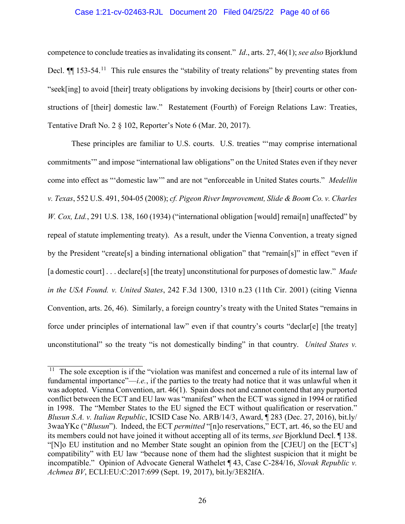## Case 1:21-cv-02463-RJL Document 20 Filed 04/25/22 Page 40 of 66

competence to conclude treaties as invalidating its consent." *Id*., arts. 27, 46(1); *see also* Bjorklund Decl.  $\P$  153-54.<sup>11</sup> This rule ensures the "stability of treaty relations" by preventing states from "seek[ing] to avoid [their] treaty obligations by invoking decisions by [their] courts or other constructions of [their] domestic law." Restatement (Fourth) of Foreign Relations Law: Treaties, Tentative Draft No. 2 § 102, Reporter's Note 6 (Mar. 20, 2017).

These principles are familiar to U.S. courts. U.S. treaties "'may comprise international commitments'" and impose "international law obligations" on the United States even if they never come into effect as "'domestic law'" and are not "enforceable in United States courts." *Medellin v. Texas*, 552 U.S. 491, 504-05 (2008); *cf. Pigeon River Improvement, Slide & Boom Co. v. Charles W. Cox, Ltd.*, 291 U.S. 138, 160 (1934) ("international obligation [would] remai[n] unaffected" by repeal of statute implementing treaty). As a result, under the Vienna Convention, a treaty signed by the President "create[s] a binding international obligation" that "remain[s]" in effect "even if [a domestic court] . . . declare[s] [the treaty] unconstitutional for purposes of domestic law." *Made in the USA Found. v. United States*, 242 F.3d 1300, 1310 n.23 (11th Cir. 2001) (citing Vienna Convention, arts. 26, 46). Similarly, a foreign country's treaty with the United States "remains in force under principles of international law" even if that country's courts "declar[e] [the treaty] unconstitutional" so the treaty "is not domestically binding" in that country. *United States v.* 

<span id="page-39-0"></span> $11$  The sole exception is if the "violation was manifest and concerned a rule of its internal law of fundamental importance"—*i.e.*, if the parties to the treaty had notice that it was unlawful when it was adopted. Vienna Convention, art. 46(1). Spain does not and cannot contend that any purported conflict between the ECT and EU law was "manifest" when the ECT was signed in 1994 or ratified in 1998. The "Member States to the EU signed the ECT without qualification or reservation." *Blusun S.A. v. Italian Republic*, ICSID Case No. ARB/14/3, Award, ¶ 283 (Dec. 27, 2016), bit.ly/ 3waaYKc ("*Blusun*"). Indeed, the ECT *permitted* "[n]o reservations," ECT, art. 46, so the EU and its members could not have joined it without accepting all of its terms, *see* Bjorklund Decl. ¶ 138. "[N]o EU institution and no Member State sought an opinion from the [CJEU] on the [ECT's] compatibility" with EU law "because none of them had the slightest suspicion that it might be incompatible." Opinion of Advocate General Wathelet ¶ 43, Case C-284/16, *Slovak Republic v. Achmea BV*, ECLI:EU:C:2017:699 (Sept. 19, 2017), bit.ly/3E82IfA.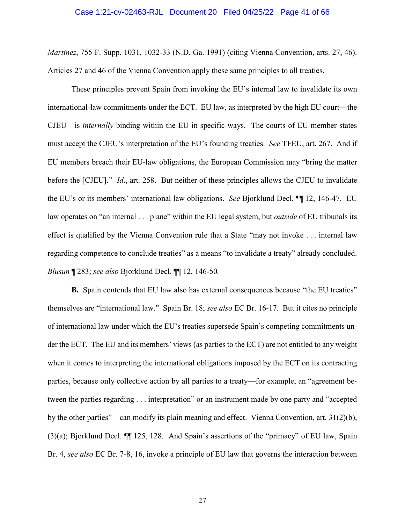*Martinez*, 755 F. Supp. 1031, 1032-33 (N.D. Ga. 1991) (citing Vienna Convention, arts. 27, 46). Articles 27 and 46 of the Vienna Convention apply these same principles to all treaties.

These principles prevent Spain from invoking the EU's internal law to invalidate its own international-law commitments under the ECT. EU law, as interpreted by the high EU court—the CJEU—is *internally* binding within the EU in specific ways. The courts of EU member states must accept the CJEU's interpretation of the EU's founding treaties. *See* TFEU, art. 267. And if EU members breach their EU-law obligations, the European Commission may "bring the matter before the [CJEU]." *Id*., art. 258. But neither of these principles allows the CJEU to invalidate the EU's or its members' international law obligations. *See* Bjorklund Decl. ¶¶ 12, 146-47. EU law operates on "an internal . . . plane" within the EU legal system, but *outside* of EU tribunals its effect is qualified by the Vienna Convention rule that a State "may not invoke . . . internal law regarding competence to conclude treaties" as a means "to invalidate a treaty" already concluded. *Blusun* ¶ 283; *see also* Bjorklund Decl. ¶¶ 12, 146-50*.*

**B.** Spain contends that EU law also has external consequences because "the EU treaties" themselves are "international law." Spain Br. 18; *see also* EC Br. 16-17. But it cites no principle of international law under which the EU's treaties supersede Spain's competing commitments under the ECT. The EU and its members' views (as parties to the ECT) are not entitled to any weight when it comes to interpreting the international obligations imposed by the ECT on its contracting parties, because only collective action by all parties to a treaty—for example, an "agreement between the parties regarding . . . interpretation" or an instrument made by one party and "accepted by the other parties"—can modify its plain meaning and effect. Vienna Convention, art. 31(2)(b), (3)(a); Bjorklund Decl. ¶¶ 125, 128. And Spain's assertions of the "primacy" of EU law, Spain Br. 4, *see also* EC Br. 7-8, 16, invoke a principle of EU law that governs the interaction between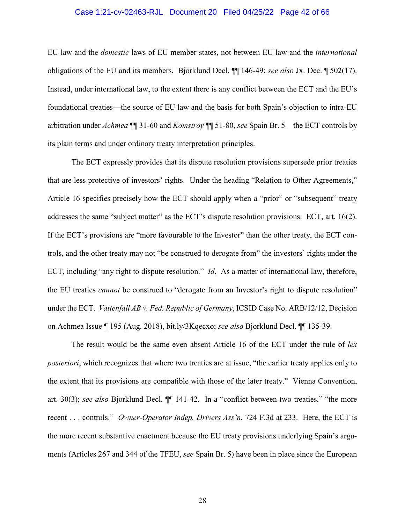## Case 1:21-cv-02463-RJL Document 20 Filed 04/25/22 Page 42 of 66

EU law and the *domestic* laws of EU member states, not between EU law and the *international* obligations of the EU and its members. Bjorklund Decl. ¶¶ 146-49; *see also* Jx. Dec. ¶ 502(17). Instead, under international law, to the extent there is any conflict between the ECT and the EU's foundational treaties—the source of EU law and the basis for both Spain's objection to intra-EU arbitration under *Achmea* ¶¶ 31-60 and *Komstroy* ¶¶ 51-80, *see* Spain Br. 5—the ECT controls by its plain terms and under ordinary treaty interpretation principles.

The ECT expressly provides that its dispute resolution provisions supersede prior treaties that are less protective of investors' rights. Under the heading "Relation to Other Agreements," Article 16 specifies precisely how the ECT should apply when a "prior" or "subsequent" treaty addresses the same "subject matter" as the ECT's dispute resolution provisions. ECT, art. 16(2). If the ECT's provisions are "more favourable to the Investor" than the other treaty, the ECT controls, and the other treaty may not "be construed to derogate from" the investors' rights under the ECT, including "any right to dispute resolution." *Id*. As a matter of international law, therefore, the EU treaties *cannot* be construed to "derogate from an Investor's right to dispute resolution" under the ECT. *Vattenfall AB v. Fed. Republic of Germany*, ICSID Case No. ARB/12/12, Decision on Achmea Issue ¶ 195 (Aug. 2018), bit.ly/3Kqecxo; *see also* Bjorklund Decl. ¶¶ 135-39.

The result would be the same even absent Article 16 of the ECT under the rule of *lex posteriori*, which recognizes that where two treaties are at issue, "the earlier treaty applies only to the extent that its provisions are compatible with those of the later treaty." Vienna Convention, art. 30(3); *see also* Bjorklund Decl. ¶¶ 141-42. In a "conflict between two treaties," "the more recent . . . controls." *Owner-Operator Indep. Drivers Ass'n*, 724 F.3d at 233. Here, the ECT is the more recent substantive enactment because the EU treaty provisions underlying Spain's arguments (Articles 267 and 344 of the TFEU, *see* Spain Br. 5) have been in place since the European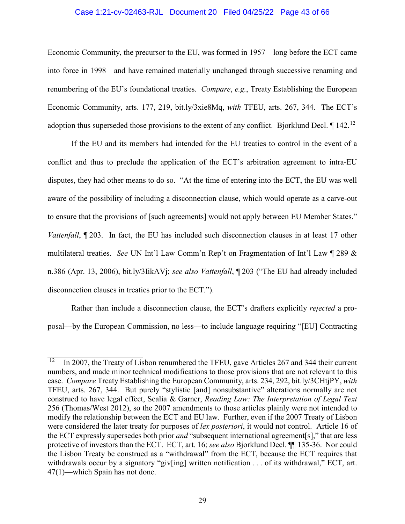## Case 1:21-cv-02463-RJL Document 20 Filed 04/25/22 Page 43 of 66

Economic Community, the precursor to the EU, was formed in 1957—long before the ECT came into force in 1998—and have remained materially unchanged through successive renaming and renumbering of the EU's foundational treaties. *Compare*, *e.g.*, Treaty Establishing the European Economic Community, arts. 177, 219, bit.ly/3xie8Mq, *with* TFEU, arts. 267, 344. The ECT's adoption thus superseded those provisions to the extent of any conflict. Bjorklund Decl. 1 142.<sup>[12](#page-42-0)</sup>

If the EU and its members had intended for the EU treaties to control in the event of a conflict and thus to preclude the application of the ECT's arbitration agreement to intra-EU disputes, they had other means to do so. "At the time of entering into the ECT, the EU was well aware of the possibility of including a disconnection clause, which would operate as a carve-out to ensure that the provisions of [such agreements] would not apply between EU Member States." *Vattenfall*, 1203. In fact, the EU has included such disconnection clauses in at least 17 other multilateral treaties. *See* UN Int'l Law Comm'n Rep't on Fragmentation of Int'l Law ¶ 289 & n.386 (Apr. 13, 2006), bit.ly/3IikAVj; *see also Vattenfall*, ¶ 203 ("The EU had already included disconnection clauses in treaties prior to the ECT.").

Rather than include a disconnection clause, the ECT's drafters explicitly *rejected* a proposal—by the European Commission, no less—to include language requiring "[EU] Contracting

<span id="page-42-0"></span> $12$ 12 In 2007, the Treaty of Lisbon renumbered the TFEU, gave Articles 267 and 344 their current numbers, and made minor technical modifications to those provisions that are not relevant to this case. *Compare* Treaty Establishing the European Community, arts. 234, 292, bit.ly/3CHtjPY, *with* TFEU, arts. 267, 344. But purely "stylistic [and] nonsubstantive" alterations normally are not construed to have legal effect, Scalia & Garner, *Reading Law: The Interpretation of Legal Text* 256 (Thomas/West 2012), so the 2007 amendments to those articles plainly were not intended to modify the relationship between the ECT and EU law. Further, even if the 2007 Treaty of Lisbon were considered the later treaty for purposes of *lex posteriori*, it would not control. Article 16 of the ECT expressly supersedes both prior *and* "subsequent international agreement[s]," that are less protective of investors than the ECT. ECT, art. 16; *see also* Bjorklund Decl. ¶¶ 135-36. Nor could the Lisbon Treaty be construed as a "withdrawal" from the ECT, because the ECT requires that withdrawals occur by a signatory "giv[ing] written notification . . . of its withdrawal," ECT, art. 47(1)—which Spain has not done.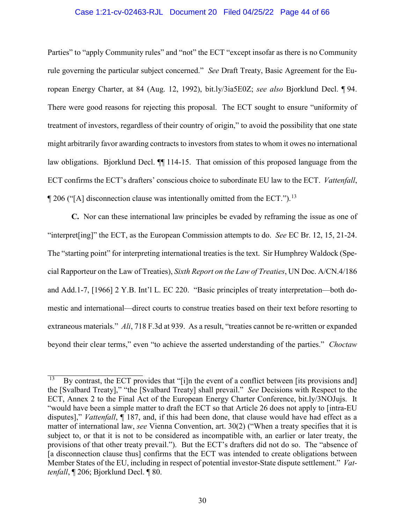## Case 1:21-cv-02463-RJL Document 20 Filed 04/25/22 Page 44 of 66

Parties" to "apply Community rules" and "not" the ECT "except insofar as there is no Community rule governing the particular subject concerned." *See* Draft Treaty, Basic Agreement for the European Energy Charter, at 84 (Aug. 12, 1992), bit.ly/3ia5E0Z; *see also* Bjorklund Decl. ¶ 94. There were good reasons for rejecting this proposal. The ECT sought to ensure "uniformity of treatment of investors, regardless of their country of origin," to avoid the possibility that one state might arbitrarily favor awarding contracts to investors from states to whom it owes no international law obligations. Bjorklund Decl. ¶¶ 114-15. That omission of this proposed language from the ECT confirms the ECT's drafters' conscious choice to subordinate EU law to the ECT. *Vattenfall*,  $\P$  206 ("[A] disconnection clause was intentionally omitted from the ECT.").<sup>[13](#page-43-0)</sup>

**C.** Nor can these international law principles be evaded by reframing the issue as one of "interpret[ing]" the ECT, as the European Commission attempts to do. *See* EC Br. 12, 15, 21-24. The "starting point" for interpreting international treaties is the text. Sir Humphrey Waldock (Special Rapporteur on the Law of Treaties), *Sixth Report on the Law of Treaties*, UN Doc. A/CN.4/186 and Add.1-7, [1966] 2 Y.B. Int'l L. EC 220. "Basic principles of treaty interpretation—both domestic and international—direct courts to construe treaties based on their text before resorting to extraneous materials." *Ali*, 718 F.3d at 939. As a result, "treaties cannot be re-written or expanded beyond their clear terms," even "to achieve the asserted understanding of the parties." *Choctaw* 

<span id="page-43-0"></span> $\overline{13}$ By contrast, the ECT provides that "[i]n the event of a conflict between [its provisions and] the [Svalbard Treaty]," "the [Svalbard Treaty] shall prevail." *See* Decisions with Respect to the ECT, Annex 2 to the Final Act of the European Energy Charter Conference, bit.ly/3NOJujs. It "would have been a simple matter to draft the ECT so that Article 26 does not apply to [intra-EU disputes]," *Vattenfall*, ¶ 187, and, if this had been done, that clause would have had effect as a matter of international law, *see* Vienna Convention, art. 30(2) ("When a treaty specifies that it is subject to, or that it is not to be considered as incompatible with, an earlier or later treaty, the provisions of that other treaty prevail."). But the ECT's drafters did not do so. The "absence of [a disconnection clause thus] confirms that the ECT was intended to create obligations between Member States of the EU, including in respect of potential investor-State dispute settlement." *Vattenfall*, ¶ 206; Bjorklund Decl. ¶ 80.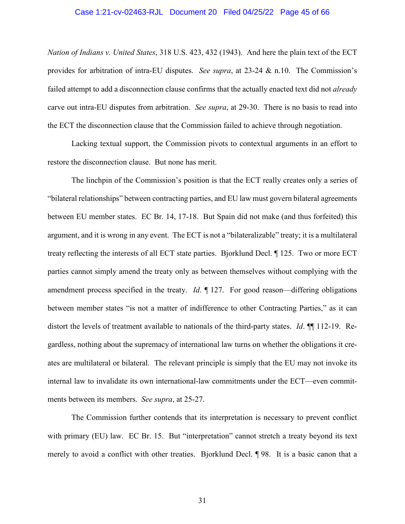### Case 1:21-cv-02463-RJL Document 20 Filed 04/25/22 Page 45 of 66

*Nation of Indians v. United States*, 318 U.S. 423, 432 (1943). And here the plain text of the ECT provides for arbitration of intra-EU disputes. *See supra*, at 23-24 & n.10. The Commission's failed attempt to add a disconnection clause confirms that the actually enacted text did not *already* carve out intra-EU disputes from arbitration. *See supra*, at 29-30. There is no basis to read into the ECT the disconnection clause that the Commission failed to achieve through negotiation.

Lacking textual support, the Commission pivots to contextual arguments in an effort to restore the disconnection clause. But none has merit.

The linchpin of the Commission's position is that the ECT really creates only a series of "bilateral relationships" between contracting parties, and EU law must govern bilateral agreements between EU member states. EC Br. 14, 17-18. But Spain did not make (and thus forfeited) this argument, and it is wrong in any event. The ECT is not a "bilateralizable" treaty; it is a multilateral treaty reflecting the interests of all ECT state parties. Bjorklund Decl. ¶ 125. Two or more ECT parties cannot simply amend the treaty only as between themselves without complying with the amendment process specified in the treaty. *Id*. ¶ 127. For good reason—differing obligations between member states "is not a matter of indifference to other Contracting Parties," as it can distort the levels of treatment available to nationals of the third-party states. *Id*. ¶¶ 112-19. Regardless, nothing about the supremacy of international law turns on whether the obligations it creates are multilateral or bilateral. The relevant principle is simply that the EU may not invoke its internal law to invalidate its own international-law commitments under the ECT—even commitments between its members. *See supra*, at 25-27.

The Commission further contends that its interpretation is necessary to prevent conflict with primary (EU) law. EC Br. 15. But "interpretation" cannot stretch a treaty beyond its text merely to avoid a conflict with other treaties. Bjorklund Decl. ¶ 98. It is a basic canon that a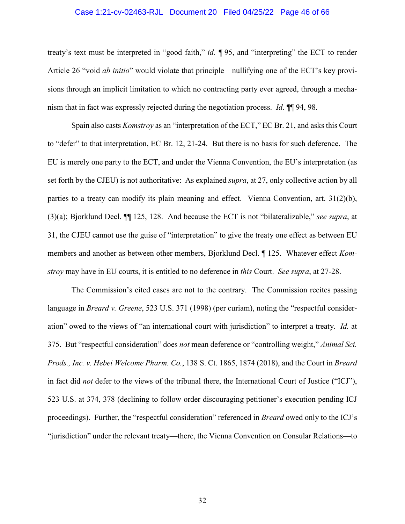## Case 1:21-cv-02463-RJL Document 20 Filed 04/25/22 Page 46 of 66

treaty's text must be interpreted in "good faith," *id. ¶* 95, and "interpreting" the ECT to render Article 26 "void *ab initio*" would violate that principle—nullifying one of the ECT's key provisions through an implicit limitation to which no contracting party ever agreed, through a mechanism that in fact was expressly rejected during the negotiation process. *Id*. ¶¶ 94, 98.

Spain also casts *Komstroy* as an "interpretation of the ECT," EC Br. 21, and asks this Court to "defer" to that interpretation, EC Br. 12, 21-24. But there is no basis for such deference. The EU is merely one party to the ECT, and under the Vienna Convention, the EU's interpretation (as set forth by the CJEU) is not authoritative: As explained *supra*, at 27, only collective action by all parties to a treaty can modify its plain meaning and effect. Vienna Convention, art. 31(2)(b), (3)(a); Bjorklund Decl. ¶¶ 125, 128. And because the ECT is not "bilateralizable," *see supra*, at 31, the CJEU cannot use the guise of "interpretation" to give the treaty one effect as between EU members and another as between other members, Bjorklund Decl. ¶ 125. Whatever effect *Komstroy* may have in EU courts, it is entitled to no deference in *this* Court. *See supra*, at 27-28.

The Commission's cited cases are not to the contrary. The Commission recites passing language in *Breard v. Greene*, 523 U.S. 371 (1998) (per curiam), noting the "respectful consideration" owed to the views of "an international court with jurisdiction" to interpret a treaty. *Id.* at 375. But "respectful consideration" does *not* mean deference or "controlling weight," *Animal Sci. Prods., Inc. v. Hebei Welcome Pharm. Co.*, 138 S. Ct. 1865, 1874 (2018), and the Court in *Breard*  in fact did *not* defer to the views of the tribunal there, the International Court of Justice ("ICJ"), 523 U.S. at 374, 378 (declining to follow order discouraging petitioner's execution pending ICJ proceedings). Further, the "respectful consideration" referenced in *Breard* owed only to the ICJ's "jurisdiction" under the relevant treaty—there, the Vienna Convention on Consular Relations—to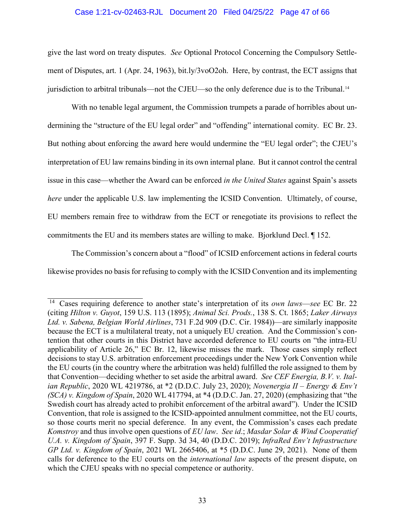## Case 1:21-cv-02463-RJL Document 20 Filed 04/25/22 Page 47 of 66

give the last word on treaty disputes. *See* Optional Protocol Concerning the Compulsory Settlement of Disputes, art. 1 (Apr. 24, 1963), bit.ly/3voO2oh. Here, by contrast, the ECT assigns that jurisdiction to arbitral tribunals—not the CJEU—so the only deference due is to the Tribunal.[14](#page-46-0)

With no tenable legal argument, the Commission trumpets a parade of horribles about undermining the "structure of the EU legal order" and "offending" international comity. EC Br. 23. But nothing about enforcing the award here would undermine the "EU legal order"; the CJEU's interpretation of EU law remains binding in its own internal plane. But it cannot control the central issue in this case—whether the Award can be enforced *in the United States* against Spain's assets *here* under the applicable U.S. law implementing the ICSID Convention. Ultimately, of course, EU members remain free to withdraw from the ECT or renegotiate its provisions to reflect the commitments the EU and its members states are willing to make. Bjorklund Decl. ¶ 152.

The Commission's concern about a "flood" of ICSID enforcement actions in federal courts likewise provides no basis for refusing to comply with the ICSID Convention and its implementing

<span id="page-46-0"></span> <sup>14</sup> Cases requiring deference to another state's interpretation of its *own laws*—*see* EC Br. 22 (citing *Hilton v. Guyot*, 159 U.S. 113 (1895); *Animal Sci. Prods.*, 138 S. Ct. 1865; *Laker Airways Ltd. v. Sabena, Belgian World Airlines*, 731 F.2d 909 (D.C. Cir. 1984))—are similarly inapposite because the ECT is a multilateral treaty, not a uniquely EU creation. And the Commission's contention that other courts in this District have accorded deference to EU courts on "the intra-EU applicability of Article 26," EC Br. 12, likewise misses the mark. Those cases simply reflect decisions to stay U.S. arbitration enforcement proceedings under the New York Convention while the EU courts (in the country where the arbitration was held) fulfilled the role assigned to them by that Convention—deciding whether to set aside the arbitral award. *See CEF Energia, B.V. v. Italian Republic*, 2020 WL 4219786, at \*2 (D.D.C. July 23, 2020); *Novenergia II – Energy & Env't (SCA) v. Kingdom of Spain*, 2020 WL 417794, at \*4 (D.D.C. Jan. 27, 2020) (emphasizing that "the Swedish court has already acted to prohibit enforcement of the arbitral award"). Under the ICSID Convention, that role is assigned to the ICSID-appointed annulment committee, not the EU courts, so those courts merit no special deference. In any event, the Commission's cases each predate *Komstroy* and thus involve open questions of *EU law*. *See id*.; *Masdar Solar & Wind Cooperatief U.A. v. Kingdom of Spain*, 397 F. Supp. 3d 34, 40 (D.D.C. 2019); *InfraRed Env't Infrastructure GP Ltd. v. Kingdom of Spain*, 2021 WL 2665406, at \*5 (D.D.C. June 29, 2021). None of them calls for deference to the EU courts on the *international law* aspects of the present dispute, on which the CJEU speaks with no special competence or authority.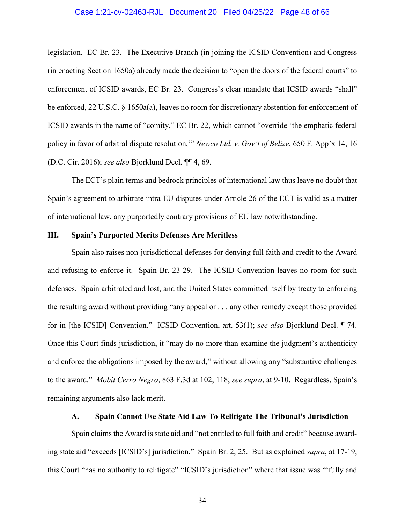## Case 1:21-cv-02463-RJL Document 20 Filed 04/25/22 Page 48 of 66

legislation. EC Br. 23. The Executive Branch (in joining the ICSID Convention) and Congress (in enacting Section 1650a) already made the decision to "open the doors of the federal courts" to enforcement of ICSID awards, EC Br. 23. Congress's clear mandate that ICSID awards "shall" be enforced, 22 U.S.C. § 1650a(a), leaves no room for discretionary abstention for enforcement of ICSID awards in the name of "comity," EC Br. 22, which cannot "override 'the emphatic federal policy in favor of arbitral dispute resolution,'" *Newco Ltd. v. Gov't of Belize*, 650 F. App'x 14, 16 (D.C. Cir. 2016); *see also* Bjorklund Decl. ¶¶ 4, 69.

The ECT's plain terms and bedrock principles of international law thus leave no doubt that Spain's agreement to arbitrate intra-EU disputes under Article 26 of the ECT is valid as a matter of international law, any purportedly contrary provisions of EU law notwithstanding.

## <span id="page-47-0"></span>**III. Spain's Purported Merits Defenses Are Meritless**

Spain also raises non-jurisdictional defenses for denying full faith and credit to the Award and refusing to enforce it. Spain Br. 23-29. The ICSID Convention leaves no room for such defenses. Spain arbitrated and lost, and the United States committed itself by treaty to enforcing the resulting award without providing "any appeal or . . . any other remedy except those provided for in [the ICSID] Convention." ICSID Convention, art. 53(1); *see also* Bjorklund Decl. ¶ 74. Once this Court finds jurisdiction, it "may do no more than examine the judgment's authenticity and enforce the obligations imposed by the award," without allowing any "substantive challenges to the award." *Mobil Cerro Negro*, 863 F.3d at 102, 118; *see supra*, at 9-10. Regardless, Spain's remaining arguments also lack merit.

## **A. Spain Cannot Use State Aid Law To Relitigate The Tribunal's Jurisdiction**

<span id="page-47-1"></span>Spain claims the Award is state aid and "not entitled to full faith and credit" because awarding state aid "exceeds [ICSID's] jurisdiction." Spain Br. 2, 25. But as explained *supra*, at 17-19, this Court "has no authority to relitigate" "ICSID's jurisdiction" where that issue was "'fully and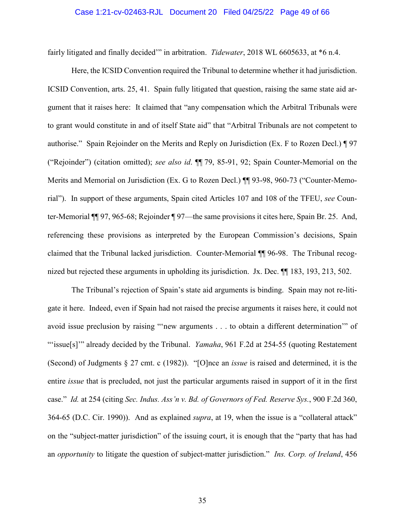### Case 1:21-cv-02463-RJL Document 20 Filed 04/25/22 Page 49 of 66

fairly litigated and finally decided'" in arbitration. *Tidewater*, 2018 WL 6605633, at \*6 n.4.

Here, the ICSID Convention required the Tribunal to determine whether it had jurisdiction. ICSID Convention, arts. 25, 41. Spain fully litigated that question, raising the same state aid argument that it raises here: It claimed that "any compensation which the Arbitral Tribunals were to grant would constitute in and of itself State aid" that "Arbitral Tribunals are not competent to authorise." Spain Rejoinder on the Merits and Reply on Jurisdiction (Ex. F to Rozen Decl.) ¶ 97 ("Rejoinder") (citation omitted); *see also id*. ¶¶ 79, 85-91, 92; Spain Counter-Memorial on the Merits and Memorial on Jurisdiction (Ex. G to Rozen Decl.) ¶¶ 93-98, 960-73 ("Counter-Memorial"). In support of these arguments, Spain cited Articles 107 and 108 of the TFEU, *see* Counter-Memorial ¶¶ 97, 965-68; Rejoinder ¶ 97—the same provisions it cites here, Spain Br. 25. And, referencing these provisions as interpreted by the European Commission's decisions, Spain claimed that the Tribunal lacked jurisdiction. Counter-Memorial ¶¶ 96-98. The Tribunal recognized but rejected these arguments in upholding its jurisdiction. Jx. Dec. ¶¶ 183, 193, 213, 502.

The Tribunal's rejection of Spain's state aid arguments is binding. Spain may not re-litigate it here. Indeed, even if Spain had not raised the precise arguments it raises here, it could not avoid issue preclusion by raising "'new arguments . . . to obtain a different determination'" of "'issue[s]'" already decided by the Tribunal. *Yamaha*, 961 F.2d at 254-55 (quoting Restatement (Second) of Judgments § 27 cmt. c (1982)). "[O]nce an *issue* is raised and determined, it is the entire *issue* that is precluded, not just the particular arguments raised in support of it in the first case." *Id.* at 254 (citing *Sec. Indus. Ass'n v. Bd. of Governors of Fed. Reserve Sys.*, 900 F.2d 360, 364-65 (D.C. Cir. 1990)). And as explained *supra*, at 19, when the issue is a "collateral attack" on the "subject-matter jurisdiction" of the issuing court, it is enough that the "party that has had an *opportunity* to litigate the question of subject-matter jurisdiction." *Ins. Corp. of Ireland*, 456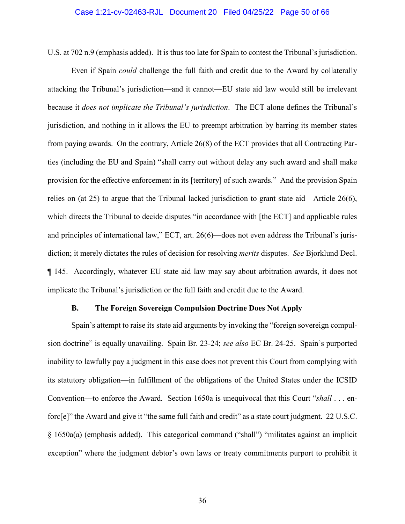## Case 1:21-cv-02463-RJL Document 20 Filed 04/25/22 Page 50 of 66

U.S. at 702 n.9 (emphasis added). It is thus too late for Spain to contest the Tribunal's jurisdiction.

Even if Spain *could* challenge the full faith and credit due to the Award by collaterally attacking the Tribunal's jurisdiction—and it cannot—EU state aid law would still be irrelevant because it *does not implicate the Tribunal's jurisdiction*. The ECT alone defines the Tribunal's jurisdiction, and nothing in it allows the EU to preempt arbitration by barring its member states from paying awards. On the contrary, Article 26(8) of the ECT provides that all Contracting Parties (including the EU and Spain) "shall carry out without delay any such award and shall make provision for the effective enforcement in its [territory] of such awards." And the provision Spain relies on (at 25) to argue that the Tribunal lacked jurisdiction to grant state aid—Article 26(6), which directs the Tribunal to decide disputes "in accordance with [the ECT] and applicable rules and principles of international law," ECT, art. 26(6)—does not even address the Tribunal's jurisdiction; it merely dictates the rules of decision for resolving *merits* disputes. *See* Bjorklund Decl. ¶ 145. Accordingly, whatever EU state aid law may say about arbitration awards, it does not implicate the Tribunal's jurisdiction or the full faith and credit due to the Award.

## **B. The Foreign Sovereign Compulsion Doctrine Does Not Apply**

<span id="page-49-0"></span>Spain's attempt to raise its state aid arguments by invoking the "foreign sovereign compulsion doctrine" is equally unavailing. Spain Br. 23-24; *see also* EC Br. 24-25. Spain's purported inability to lawfully pay a judgment in this case does not prevent this Court from complying with its statutory obligation—in fulfillment of the obligations of the United States under the ICSID Convention—to enforce the Award. Section 1650a is unequivocal that this Court "*shall* . . . enforc[e]" the Award and give it "the same full faith and credit" as a state court judgment. 22 U.S.C. § 1650a(a) (emphasis added). This categorical command ("shall") "militates against an implicit exception" where the judgment debtor's own laws or treaty commitments purport to prohibit it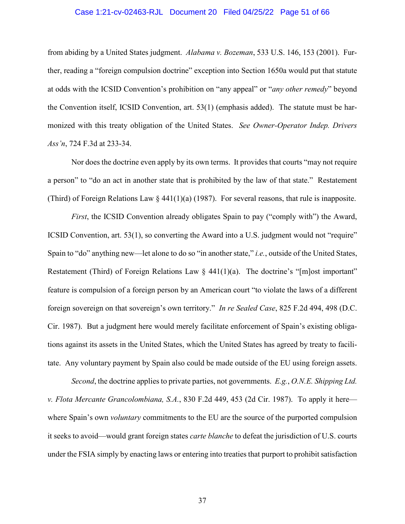## Case 1:21-cv-02463-RJL Document 20 Filed 04/25/22 Page 51 of 66

from abiding by a United States judgment. *Alabama v. Bozeman*, 533 U.S. 146, 153 (2001). Further, reading a "foreign compulsion doctrine" exception into Section 1650a would put that statute at odds with the ICSID Convention's prohibition on "any appeal" or "*any other remedy*" beyond the Convention itself, ICSID Convention, art. 53(1) (emphasis added). The statute must be harmonized with this treaty obligation of the United States. *See Owner-Operator Indep. Drivers Ass'n*, 724 F.3d at 233-34.

Nor does the doctrine even apply by its own terms. It provides that courts "may not require a person" to "do an act in another state that is prohibited by the law of that state." Restatement (Third) of Foreign Relations Law  $\S$  441(1)(a) (1987). For several reasons, that rule is inapposite.

*First*, the ICSID Convention already obligates Spain to pay ("comply with") the Award, ICSID Convention, art. 53(1), so converting the Award into a U.S. judgment would not "require" Spain to "do" anything new—let alone to do so "in another state," *i.e.*, outside of the United States, Restatement (Third) of Foreign Relations Law  $\S$  441(1)(a). The doctrine's "[m]ost important" feature is compulsion of a foreign person by an American court "to violate the laws of a different foreign sovereign on that sovereign's own territory." *In re Sealed Case*, 825 F.2d 494, 498 (D.C. Cir. 1987). But a judgment here would merely facilitate enforcement of Spain's existing obligations against its assets in the United States, which the United States has agreed by treaty to facilitate. Any voluntary payment by Spain also could be made outside of the EU using foreign assets.

*Second*, the doctrine applies to private parties, not governments. *E.g.*, *O.N.E. Shipping Ltd. v. Flota Mercante Grancolombiana, S.A.*, 830 F.2d 449, 453 (2d Cir. 1987). To apply it here where Spain's own *voluntary* commitments to the EU are the source of the purported compulsion it seeks to avoid—would grant foreign states *carte blanche* to defeat the jurisdiction of U.S. courts under the FSIA simply by enacting laws or entering into treaties that purport to prohibit satisfaction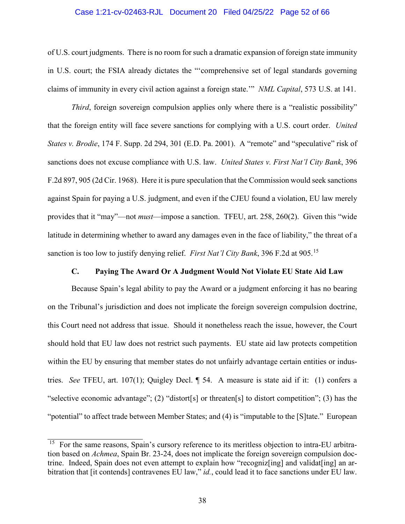## Case 1:21-cv-02463-RJL Document 20 Filed 04/25/22 Page 52 of 66

of U.S. court judgments. There is no room for such a dramatic expansion of foreign state immunity in U.S. court; the FSIA already dictates the "'comprehensive set of legal standards governing claims of immunity in every civil action against a foreign state.'" *NML Capital*, 573 U.S. at 141.

*Third*, foreign sovereign compulsion applies only where there is a "realistic possibility" that the foreign entity will face severe sanctions for complying with a U.S. court order. *United States v. Brodie*, 174 F. Supp. 2d 294, 301 (E.D. Pa. 2001). A "remote" and "speculative" risk of sanctions does not excuse compliance with U.S. law. *United States v. First Nat'l City Bank*, 396 F.2d 897, 905 (2d Cir. 1968). Here it is pure speculation that the Commission would seek sanctions against Spain for paying a U.S. judgment, and even if the CJEU found a violation, EU law merely provides that it "may"—not *must*—impose a sanction. TFEU, art. 258, 260(2). Given this "wide latitude in determining whether to award any damages even in the face of liability," the threat of a sanction is too low to justify denying relief. *First Nat'l City Bank*, 396 F.2d at 905.[15](#page-51-1)

## **C. Paying The Award Or A Judgment Would Not Violate EU State Aid Law**

<span id="page-51-0"></span>Because Spain's legal ability to pay the Award or a judgment enforcing it has no bearing on the Tribunal's jurisdiction and does not implicate the foreign sovereign compulsion doctrine, this Court need not address that issue. Should it nonetheless reach the issue, however, the Court should hold that EU law does not restrict such payments. EU state aid law protects competition within the EU by ensuring that member states do not unfairly advantage certain entities or industries. *See* TFEU, art. 107(1); Quigley Decl. ¶ 54. A measure is state aid if it: (1) confers a "selective economic advantage"; (2) "distort[s] or threaten[s] to distort competition"; (3) has the "potential" to affect trade between Member States; and (4) is "imputable to the [S]tate." European

<span id="page-51-1"></span><sup>&</sup>lt;sup>15</sup> For the same reasons, Spain's cursory reference to its meritless objection to intra-EU arbitration based on *Achmea*, Spain Br. 23-24, does not implicate the foreign sovereign compulsion doctrine. Indeed, Spain does not even attempt to explain how "recognizes and validat [ing] an arbitration that [it contends] contravenes EU law," *id.*, could lead it to face sanctions under EU law.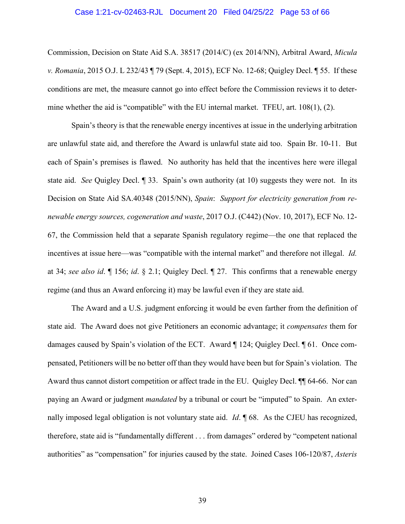### Case 1:21-cv-02463-RJL Document 20 Filed 04/25/22 Page 53 of 66

Commission, Decision on State Aid S.A. 38517 (2014/C) (ex 2014/NN), Arbitral Award, *Micula v. Romania*, 2015 O.J. L 232/43 ¶ 79 (Sept. 4, 2015), ECF No. 12-68; Quigley Decl. ¶ 55. If these conditions are met, the measure cannot go into effect before the Commission reviews it to determine whether the aid is "compatible" with the EU internal market. TFEU, art. 108(1), (2).

Spain's theory is that the renewable energy incentives at issue in the underlying arbitration are unlawful state aid, and therefore the Award is unlawful state aid too. Spain Br. 10-11. But each of Spain's premises is flawed. No authority has held that the incentives here were illegal state aid. *See* Quigley Decl. ¶ 33. Spain's own authority (at 10) suggests they were not. In its Decision on State Aid SA.40348 (2015/NN), *Spain*: *Support for electricity generation from renewable energy sources, cogeneration and waste*, 2017 O.J. (C442) (Nov. 10, 2017), ECF No. 12- 67, the Commission held that a separate Spanish regulatory regime—the one that replaced the incentives at issue here—was "compatible with the internal market" and therefore not illegal. *Id.*  at 34; *see also id*. ¶ 156; *id*. § 2.1; Quigley Decl. ¶ 27. This confirms that a renewable energy regime (and thus an Award enforcing it) may be lawful even if they are state aid.

The Award and a U.S. judgment enforcing it would be even farther from the definition of state aid. The Award does not give Petitioners an economic advantage; it *compensates* them for damages caused by Spain's violation of the ECT. Award ¶ 124; Quigley Decl. ¶ 61. Once compensated, Petitioners will be no better off than they would have been but for Spain's violation. The Award thus cannot distort competition or affect trade in the EU. Quigley Decl.  $\P$  64-66. Nor can paying an Award or judgment *mandated* by a tribunal or court be "imputed" to Spain. An externally imposed legal obligation is not voluntary state aid. *Id*. ¶ 68. As the CJEU has recognized, therefore, state aid is "fundamentally different . . . from damages" ordered by "competent national authorities" as "compensation" for injuries caused by the state. Joined Cases 106-120/87, *Asteris*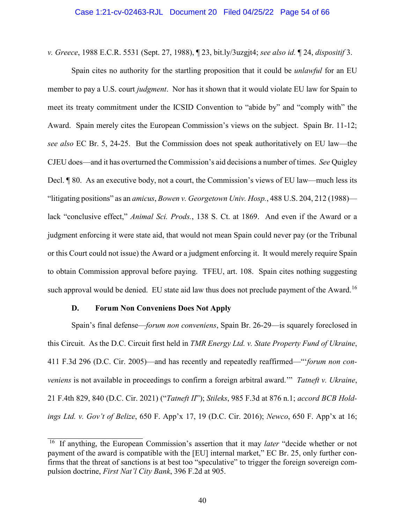*v. Greece*, 1988 E.C.R. 5531 (Sept. 27, 1988), ¶ 23, bit.ly/3uzgjt4; *see also id.* ¶ 24, *dispositif* 3.

Spain cites no authority for the startling proposition that it could be *unlawful* for an EU member to pay a U.S. court *judgment*. Nor has it shown that it would violate EU law for Spain to meet its treaty commitment under the ICSID Convention to "abide by" and "comply with" the Award. Spain merely cites the European Commission's views on the subject. Spain Br. 11-12; *see also* EC Br. 5, 24-25. But the Commission does not speak authoritatively on EU law—the CJEU does—and it has overturned the Commission's aid decisions a number of times. *See* Quigley Decl. ¶ 80. As an executive body, not a court, the Commission's views of EU law—much less its "litigating positions" as an *amicus*, *Bowen v. Georgetown Univ. Hosp.*, 488 U.S. 204, 212 (1988) lack "conclusive effect," *Animal Sci. Prods.*, 138 S. Ct. at 1869. And even if the Award or a judgment enforcing it were state aid, that would not mean Spain could never pay (or the Tribunal or this Court could not issue) the Award or a judgment enforcing it. It would merely require Spain to obtain Commission approval before paying. TFEU, art. 108. Spain cites nothing suggesting such approval would be denied. EU state aid law thus does not preclude payment of the Award.<sup>[16](#page-53-1)</sup>

## **D. Forum Non Conveniens Does Not Apply**

<span id="page-53-0"></span>Spain's final defense—*forum non conveniens*, Spain Br. 26-29—is squarely foreclosed in this Circuit. As the D.C. Circuit first held in *TMR Energy Ltd. v. State Property Fund of Ukraine*, 411 F.3d 296 (D.C. Cir. 2005)—and has recently and repeatedly reaffirmed—"'*forum non conveniens* is not available in proceedings to confirm a foreign arbitral award.'" *Tatneft v. Ukraine*, 21 F.4th 829, 840 (D.C. Cir. 2021) ("*Tatneft II*"); *Stileks*, 985 F.3d at 876 n.1; *accord BCB Holdings Ltd. v. Gov't of Belize*, 650 F. App'x 17, 19 (D.C. Cir. 2016); *Newco*, 650 F. App'x at 16;

<span id="page-53-1"></span><sup>&</sup>lt;sup>16</sup> If anything, the European Commission's assertion that it may *later* "decide whether or not payment of the award is compatible with the [EU] internal market," EC Br. 25, only further confirms that the threat of sanctions is at best too "speculative" to trigger the foreign sovereign compulsion doctrine, *First Nat'l City Bank*, 396 F.2d at 905.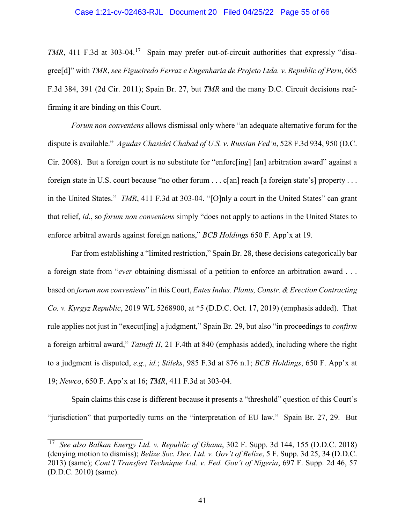*TMR*, 411 F.3d at 303-04.<sup>17</sup> Spain may prefer out-of-circuit authorities that expressly "disagree[d]" with *TMR*, *see Figueiredo Ferraz e Engenharia de Projeto Ltda. v. Republic of Peru*, 665 F.3d 384, 391 (2d Cir. 2011); Spain Br. 27, but *TMR* and the many D.C. Circuit decisions reaffirming it are binding on this Court.

*Forum non conveniens* allows dismissal only where "an adequate alternative forum for the dispute is available." *Agudas Chasidei Chabad of U.S. v. Russian Fed'n*, 528 F.3d 934, 950 (D.C. Cir. 2008). But a foreign court is no substitute for "enforc[ing] [an] arbitration award" against a foreign state in U.S. court because "no other forum . . . c[an] reach [a foreign state's] property . . . in the United States." *TMR*, 411 F.3d at 303-04. "[O]nly a court in the United States" can grant that relief, *id*., so *forum non conveniens* simply "does not apply to actions in the United States to enforce arbitral awards against foreign nations," *BCB Holdings* 650 F. App'x at 19.

Far from establishing a "limited restriction," Spain Br. 28, these decisions categorically bar a foreign state from "*ever* obtaining dismissal of a petition to enforce an arbitration award . . . based on *forum non conveniens*" in this Court, *Entes Indus. Plants, Constr. & Erection Contracting Co. v. Kyrgyz Republic*, 2019 WL 5268900, at \*5 (D.D.C. Oct. 17, 2019) (emphasis added). That rule applies not just in "execut[ing] a judgment," Spain Br. 29, but also "in proceedings to *confirm* a foreign arbitral award," *Tatneft II*, 21 F.4th at 840 (emphasis added), including where the right to a judgment is disputed, *e.g.*, *id.*; *Stileks*, 985 F.3d at 876 n.1; *BCB Holdings*, 650 F. App'x at 19; *Newco*, 650 F. App'x at 16; *TMR*, 411 F.3d at 303-04.

Spain claims this case is different because it presents a "threshold" question of this Court's "jurisdiction" that purportedly turns on the "interpretation of EU law." Spain Br. 27, 29. But

<span id="page-54-0"></span><sup>17</sup> *See also Balkan Energy Ltd. v. Republic of Ghana*, 302 F. Supp. 3d 144, 155 (D.D.C. 2018) (denying motion to dismiss); *Belize Soc. Dev. Ltd. v. Gov't of Belize*, 5 F. Supp. 3d 25, 34 (D.D.C. 2013) (same); *Cont'l Transfert Technique Ltd. v. Fed. Gov't of Nigeria*, 697 F. Supp. 2d 46, 57 (D.D.C. 2010) (same).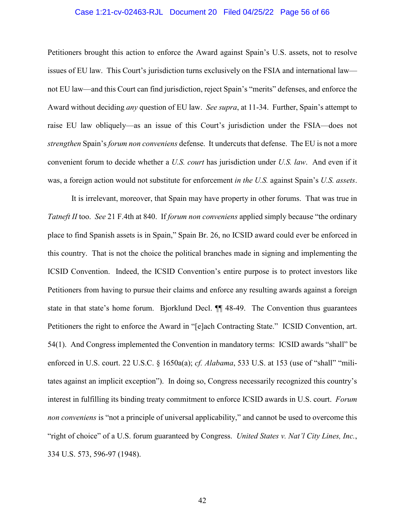## Case 1:21-cv-02463-RJL Document 20 Filed 04/25/22 Page 56 of 66

Petitioners brought this action to enforce the Award against Spain's U.S. assets, not to resolve issues of EU law. This Court's jurisdiction turns exclusively on the FSIA and international law not EU law—and this Court can find jurisdiction, reject Spain's "merits" defenses, and enforce the Award without deciding *any* question of EU law. *See supra*, at 11-34. Further, Spain's attempt to raise EU law obliquely—as an issue of this Court's jurisdiction under the FSIA—does not *strengthen* Spain's *forum non conveniens* defense. It undercuts that defense. The EU is not a more convenient forum to decide whether a *U.S. court* has jurisdiction under *U.S. law*. And even if it was, a foreign action would not substitute for enforcement *in the U.S.* against Spain's *U.S. assets*.

It is irrelevant, moreover, that Spain may have property in other forums. That was true in *Tatneft II* too. *See* 21 F.4th at 840. If *forum non conveniens* applied simply because "the ordinary place to find Spanish assets is in Spain," Spain Br. 26, no ICSID award could ever be enforced in this country. That is not the choice the political branches made in signing and implementing the ICSID Convention. Indeed, the ICSID Convention's entire purpose is to protect investors like Petitioners from having to pursue their claims and enforce any resulting awards against a foreign state in that state's home forum. Bjorklund Decl. ¶¶ 48-49. The Convention thus guarantees Petitioners the right to enforce the Award in "[e]ach Contracting State." ICSID Convention, art. 54(1). And Congress implemented the Convention in mandatory terms: ICSID awards "shall" be enforced in U.S. court. 22 U.S.C. § 1650a(a); *cf. Alabama*, 533 U.S. at 153 (use of "shall" "militates against an implicit exception"). In doing so, Congress necessarily recognized this country's interest in fulfilling its binding treaty commitment to enforce ICSID awards in U.S. court. *Forum non conveniens* is "not a principle of universal applicability," and cannot be used to overcome this "right of choice" of a U.S. forum guaranteed by Congress. *United States v. Nat'l City Lines, Inc.*, 334 U.S. 573, 596-97 (1948).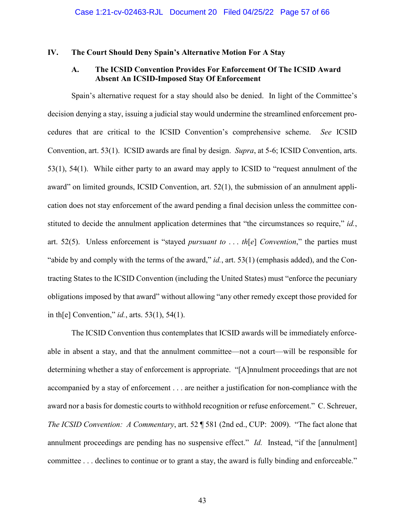## <span id="page-56-1"></span><span id="page-56-0"></span>**IV. The Court Should Deny Spain's Alternative Motion For A Stay**

## **A. The ICSID Convention Provides For Enforcement Of The ICSID Award Absent An ICSID-Imposed Stay Of Enforcement**

Spain's alternative request for a stay should also be denied. In light of the Committee's decision denying a stay, issuing a judicial stay would undermine the streamlined enforcement procedures that are critical to the ICSID Convention's comprehensive scheme. *See* ICSID Convention, art. 53(1). ICSID awards are final by design. *Supra*, at 5-6; ICSID Convention, arts. 53(1), 54(1). While either party to an award may apply to ICSID to "request annulment of the award" on limited grounds, ICSID Convention, art. 52(1), the submission of an annulment application does not stay enforcement of the award pending a final decision unless the committee constituted to decide the annulment application determines that "the circumstances so require," *id.*, art. 52(5). Unless enforcement is "stayed *pursuant to* . . . *th*[*e*] *Convention*," the parties must "abide by and comply with the terms of the award," *id.*, art. 53(1) (emphasis added), and the Contracting States to the ICSID Convention (including the United States) must "enforce the pecuniary obligations imposed by that award" without allowing "any other remedy except those provided for in th[e] Convention," *id.*, arts. 53(1), 54(1).

The ICSID Convention thus contemplates that ICSID awards will be immediately enforceable in absent a stay, and that the annulment committee—not a court—will be responsible for determining whether a stay of enforcement is appropriate. "[A]nnulment proceedings that are not accompanied by a stay of enforcement . . . are neither a justification for non-compliance with the award nor a basis for domestic courts to withhold recognition or refuse enforcement." C. Schreuer, *The ICSID Convention: A Commentary*, art. 52 ¶ 581 (2nd ed., CUP: 2009). "The fact alone that annulment proceedings are pending has no suspensive effect." *Id.* Instead, "if the [annulment] committee . . . declines to continue or to grant a stay, the award is fully binding and enforceable."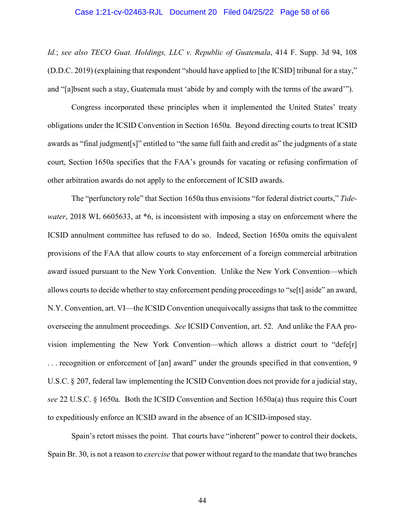### Case 1:21-cv-02463-RJL Document 20 Filed 04/25/22 Page 58 of 66

*Id.*; *see also TECO Guat. Holdings, LLC v. Republic of Guatemala*, 414 F. Supp. 3d 94, 108 (D.D.C. 2019) (explaining that respondent "should have applied to [the ICSID] tribunal for a stay," and "[a]bsent such a stay, Guatemala must 'abide by and comply with the terms of the award'").

Congress incorporated these principles when it implemented the United States' treaty obligations under the ICSID Convention in Section 1650a. Beyond directing courts to treat ICSID awards as "final judgment[s]" entitled to "the same full faith and credit as" the judgments of a state court, Section 1650a specifies that the FAA's grounds for vacating or refusing confirmation of other arbitration awards do not apply to the enforcement of ICSID awards.

The "perfunctory role" that Section 1650a thus envisions "for federal district courts," *Tidewater*, 2018 WL 6605633, at \*6, is inconsistent with imposing a stay on enforcement where the ICSID annulment committee has refused to do so. Indeed, Section 1650a omits the equivalent provisions of the FAA that allow courts to stay enforcement of a foreign commercial arbitration award issued pursuant to the New York Convention. Unlike the New York Convention—which allows courts to decide whether to stay enforcement pending proceedings to "se[t] aside" an award, N.Y. Convention, art. VI—the ICSID Convention unequivocally assigns that task to the committee overseeing the annulment proceedings. *See* ICSID Convention, art. 52. And unlike the FAA provision implementing the New York Convention—which allows a district court to "defe[r] . . . recognition or enforcement of [an] award" under the grounds specified in that convention, 9 U.S.C. § 207, federal law implementing the ICSID Convention does not provide for a judicial stay, *see* 22 U.S.C. § 1650a. Both the ICSID Convention and Section 1650a(a) thus require this Court to expeditiously enforce an ICSID award in the absence of an ICSID-imposed stay.

Spain's retort misses the point. That courts have "inherent" power to control their dockets, Spain Br. 30, is not a reason to *exercise* that power without regard to the mandate that two branches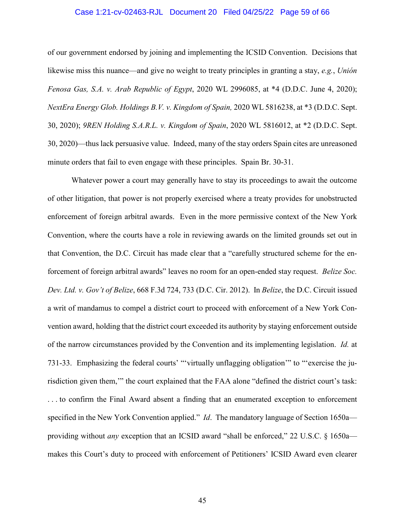## Case 1:21-cv-02463-RJL Document 20 Filed 04/25/22 Page 59 of 66

of our government endorsed by joining and implementing the ICSID Convention. Decisions that likewise miss this nuance—and give no weight to treaty principles in granting a stay, *e.g.*, *Unión Fenosa Gas, S.A. v. Arab Republic of Egypt*, 2020 WL 2996085, at \*4 (D.D.C. June 4, 2020); *NextEra Energy Glob. Holdings B.V. v. Kingdom of Spain,* 2020 WL 5816238, at \*3 (D.D.C. Sept. 30, 2020); *9REN Holding S.A.R.L. v. Kingdom of Spain*, 2020 WL 5816012, at \*2 (D.D.C. Sept. 30, 2020)—thus lack persuasive value. Indeed, many of the stay orders Spain cites are unreasoned minute orders that fail to even engage with these principles. Spain Br. 30-31.

Whatever power a court may generally have to stay its proceedings to await the outcome of other litigation, that power is not properly exercised where a treaty provides for unobstructed enforcement of foreign arbitral awards. Even in the more permissive context of the New York Convention, where the courts have a role in reviewing awards on the limited grounds set out in that Convention, the D.C. Circuit has made clear that a "carefully structured scheme for the enforcement of foreign arbitral awards" leaves no room for an open-ended stay request. *Belize Soc. Dev. Ltd. v. Gov't of Belize*, 668 F.3d 724, 733 (D.C. Cir. 2012). In *Belize*, the D.C. Circuit issued a writ of mandamus to compel a district court to proceed with enforcement of a New York Convention award, holding that the district court exceeded its authority by staying enforcement outside of the narrow circumstances provided by the Convention and its implementing legislation. *Id.* at 731-33. Emphasizing the federal courts' "'virtually unflagging obligation'" to "'exercise the jurisdiction given them,'" the court explained that the FAA alone "defined the district court's task: . . . to confirm the Final Award absent a finding that an enumerated exception to enforcement specified in the New York Convention applied." *Id*. The mandatory language of Section 1650a providing without *any* exception that an ICSID award "shall be enforced," 22 U.S.C. § 1650a makes this Court's duty to proceed with enforcement of Petitioners' ICSID Award even clearer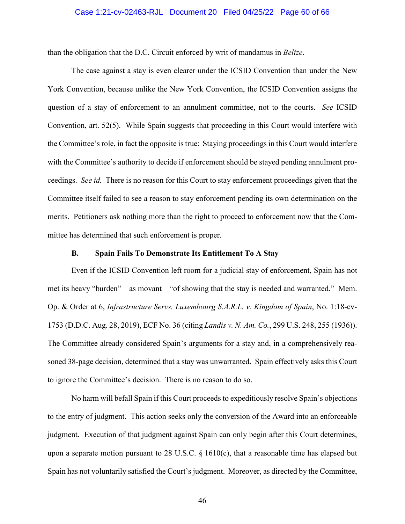### Case 1:21-cv-02463-RJL Document 20 Filed 04/25/22 Page 60 of 66

than the obligation that the D.C. Circuit enforced by writ of mandamus in *Belize*.

The case against a stay is even clearer under the ICSID Convention than under the New York Convention, because unlike the New York Convention, the ICSID Convention assigns the question of a stay of enforcement to an annulment committee, not to the courts. *See* ICSID Convention, art. 52(5). While Spain suggests that proceeding in this Court would interfere with the Committee's role, in fact the opposite is true: Staying proceedings in this Court would interfere with the Committee's authority to decide if enforcement should be stayed pending annulment proceedings. *See id.* There is no reason for this Court to stay enforcement proceedings given that the Committee itself failed to see a reason to stay enforcement pending its own determination on the merits. Petitioners ask nothing more than the right to proceed to enforcement now that the Committee has determined that such enforcement is proper.

## **B. Spain Fails To Demonstrate Its Entitlement To A Stay**

<span id="page-59-0"></span>Even if the ICSID Convention left room for a judicial stay of enforcement, Spain has not met its heavy "burden"—as movant—"of showing that the stay is needed and warranted." Mem. Op. & Order at 6, *Infrastructure Servs. Luxembourg S.A.R.L. v. Kingdom of Spain*, No. 1:18-cv-1753 (D.D.C. Aug. 28, 2019), ECF No. 36 (citing *Landis v. N. Am. Co.*, 299 U.S. 248, 255 (1936)). The Committee already considered Spain's arguments for a stay and, in a comprehensively reasoned 38-page decision, determined that a stay was unwarranted. Spain effectively asks this Court to ignore the Committee's decision. There is no reason to do so.

No harm will befall Spain if this Court proceeds to expeditiously resolve Spain's objections to the entry of judgment. This action seeks only the conversion of the Award into an enforceable judgment. Execution of that judgment against Spain can only begin after this Court determines, upon a separate motion pursuant to 28 U.S.C.  $\S$  1610(c), that a reasonable time has elapsed but Spain has not voluntarily satisfied the Court's judgment. Moreover, as directed by the Committee,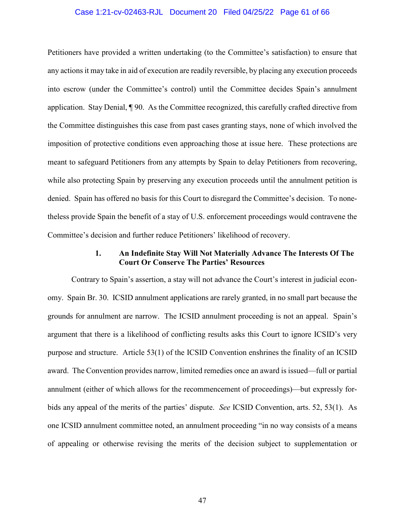## Case 1:21-cv-02463-RJL Document 20 Filed 04/25/22 Page 61 of 66

Petitioners have provided a written undertaking (to the Committee's satisfaction) to ensure that any actions it may take in aid of execution are readily reversible, by placing any execution proceeds into escrow (under the Committee's control) until the Committee decides Spain's annulment application. Stay Denial, ¶ 90. As the Committee recognized, this carefully crafted directive from the Committee distinguishes this case from past cases granting stays, none of which involved the imposition of protective conditions even approaching those at issue here. These protections are meant to safeguard Petitioners from any attempts by Spain to delay Petitioners from recovering, while also protecting Spain by preserving any execution proceeds until the annulment petition is denied. Spain has offered no basis for this Court to disregard the Committee's decision. To nonetheless provide Spain the benefit of a stay of U.S. enforcement proceedings would contravene the Committee's decision and further reduce Petitioners' likelihood of recovery.

## **1. An Indefinite Stay Will Not Materially Advance The Interests Of The Court Or Conserve The Parties' Resources**

<span id="page-60-0"></span>Contrary to Spain's assertion, a stay will not advance the Court's interest in judicial economy. Spain Br. 30. ICSID annulment applications are rarely granted, in no small part because the grounds for annulment are narrow. The ICSID annulment proceeding is not an appeal. Spain's argument that there is a likelihood of conflicting results asks this Court to ignore ICSID's very purpose and structure. Article 53(1) of the ICSID Convention enshrines the finality of an ICSID award. The Convention provides narrow, limited remedies once an award is issued—full or partial annulment (either of which allows for the recommencement of proceedings)—but expressly forbids any appeal of the merits of the parties' dispute. *See* ICSID Convention, arts. 52, 53(1). As one ICSID annulment committee noted, an annulment proceeding "in no way consists of a means of appealing or otherwise revising the merits of the decision subject to supplementation or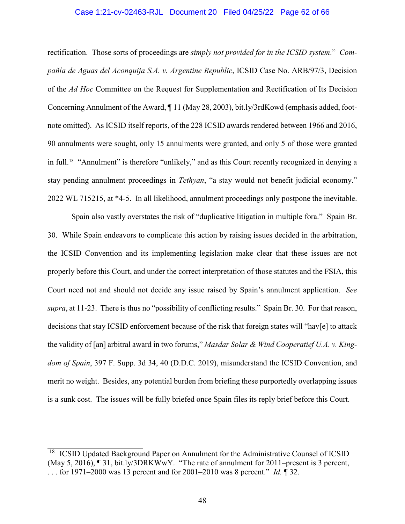## Case 1:21-cv-02463-RJL Document 20 Filed 04/25/22 Page 62 of 66

rectification. Those sorts of proceedings are *simply not provided for in the ICSID system*." *Compañía de Aguas del Aconquija S.A. v. Argentine Republic*, ICSID Case No. ARB/97/3, Decision of the *Ad Hoc* Committee on the Request for Supplementation and Rectification of Its Decision Concerning Annulment of the Award, ¶ 11 (May 28, 2003), bit.ly/3rdKowd (emphasis added, footnote omitted). As ICSID itself reports, of the 228 ICSID awards rendered between 1966 and 2016, 90 annulments were sought, only 15 annulments were granted, and only 5 of those were granted in full.[18](#page-61-0) "Annulment" is therefore "unlikely," and as this Court recently recognized in denying a stay pending annulment proceedings in *Tethyan*, "a stay would not benefit judicial economy." 2022 WL 715215, at \*4-5. In all likelihood, annulment proceedings only postpone the inevitable.

Spain also vastly overstates the risk of "duplicative litigation in multiple fora." Spain Br. 30. While Spain endeavors to complicate this action by raising issues decided in the arbitration, the ICSID Convention and its implementing legislation make clear that these issues are not properly before this Court, and under the correct interpretation of those statutes and the FSIA, this Court need not and should not decide any issue raised by Spain's annulment application. *See supra*, at 11-23. There is thus no "possibility of conflicting results." Spain Br. 30. For that reason, decisions that stay ICSID enforcement because of the risk that foreign states will "hav[e] to attack the validity of [an] arbitral award in two forums," *Masdar Solar & Wind Cooperatief U.A. v. Kingdom of Spain*, 397 F. Supp. 3d 34, 40 (D.D.C. 2019), misunderstand the ICSID Convention, and merit no weight. Besides, any potential burden from briefing these purportedly overlapping issues is a sunk cost. The issues will be fully briefed once Spain files its reply brief before this Court.

<span id="page-61-0"></span><sup>18</sup> ICSID Updated Background Paper on Annulment for the Administrative Counsel of ICSID (May 5, 2016), ¶ 31, bit.ly/3DRKWwY. "The rate of annulment for 2011–present is 3 percent, . . . for 1971–2000 was 13 percent and for 2001–2010 was 8 percent." *Id.* ¶ 32.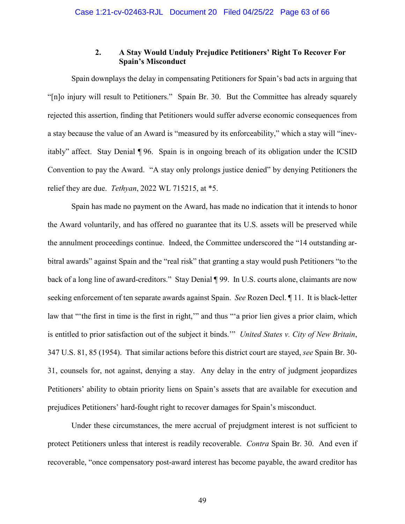## **2. A Stay Would Unduly Prejudice Petitioners' Right To Recover For Spain's Misconduct**

<span id="page-62-0"></span>Spain downplays the delay in compensating Petitioners for Spain's bad acts in arguing that "[n]o injury will result to Petitioners." Spain Br. 30. But the Committee has already squarely rejected this assertion, finding that Petitioners would suffer adverse economic consequences from a stay because the value of an Award is "measured by its enforceability," which a stay will "inevitably" affect. Stay Denial ¶ 96. Spain is in ongoing breach of its obligation under the ICSID Convention to pay the Award. "A stay only prolongs justice denied" by denying Petitioners the relief they are due. *Tethyan*, 2022 WL 715215, at \*5.

Spain has made no payment on the Award, has made no indication that it intends to honor the Award voluntarily, and has offered no guarantee that its U.S. assets will be preserved while the annulment proceedings continue. Indeed, the Committee underscored the "14 outstanding arbitral awards" against Spain and the "real risk" that granting a stay would push Petitioners "to the back of a long line of award-creditors." Stay Denial ¶ 99. In U.S. courts alone, claimants are now seeking enforcement of ten separate awards against Spain. *See* Rozen Decl. ¶ 11. It is black-letter law that "the first in time is the first in right," and thus "'a prior lien gives a prior claim, which is entitled to prior satisfaction out of the subject it binds.'" *United States v. City of New Britain*, 347 U.S. 81, 85 (1954). That similar actions before this district court are stayed, *see* Spain Br. 30- 31, counsels for, not against, denying a stay. Any delay in the entry of judgment jeopardizes Petitioners' ability to obtain priority liens on Spain's assets that are available for execution and prejudices Petitioners' hard-fought right to recover damages for Spain's misconduct.

Under these circumstances, the mere accrual of prejudgment interest is not sufficient to protect Petitioners unless that interest is readily recoverable. *Contra* Spain Br. 30. And even if recoverable, "once compensatory post-award interest has become payable, the award creditor has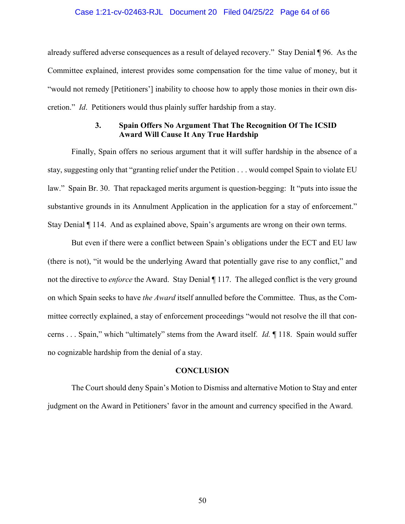### Case 1:21-cv-02463-RJL Document 20 Filed 04/25/22 Page 64 of 66

already suffered adverse consequences as a result of delayed recovery." Stay Denial ¶ 96. As the Committee explained, interest provides some compensation for the time value of money, but it "would not remedy [Petitioners'] inability to choose how to apply those monies in their own discretion." *Id*. Petitioners would thus plainly suffer hardship from a stay.

## **3. Spain Offers No Argument That The Recognition Of The ICSID Award Will Cause It Any True Hardship**

<span id="page-63-0"></span>Finally, Spain offers no serious argument that it will suffer hardship in the absence of a stay, suggesting only that "granting relief under the Petition . . . would compel Spain to violate EU law." Spain Br. 30. That repackaged merits argument is question-begging: It "puts into issue the substantive grounds in its Annulment Application in the application for a stay of enforcement." Stay Denial ¶ 114. And as explained above, Spain's arguments are wrong on their own terms.

But even if there were a conflict between Spain's obligations under the ECT and EU law (there is not), "it would be the underlying Award that potentially gave rise to any conflict," and not the directive to *enforce* the Award. Stay Denial ¶ 117. The alleged conflict is the very ground on which Spain seeks to have *the Award* itself annulled before the Committee. Thus, as the Committee correctly explained, a stay of enforcement proceedings "would not resolve the ill that concerns . . . Spain," which "ultimately" stems from the Award itself. *Id.* ¶ 118. Spain would suffer no cognizable hardship from the denial of a stay.

## **CONCLUSION**

<span id="page-63-1"></span>The Court should deny Spain's Motion to Dismiss and alternative Motion to Stay and enter judgment on the Award in Petitioners' favor in the amount and currency specified in the Award.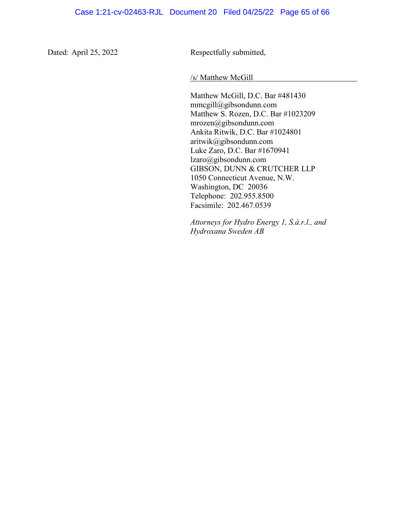Dated: April 25, 2022 Respectfully submitted,

/s/ Matthew McGill

Matthew McGill, D.C. Bar #481430 mmcgill@gibsondunn.com Matthew S. Rozen, D.C. Bar #1023209 mrozen@gibsondunn.com Ankita Ritwik, D.C. Bar #1024801 aritwik@gibsondunn.com Luke Zaro, D.C. Bar #1670941 lzaro@gibsondunn.com GIBSON, DUNN & CRUTCHER LLP 1050 Connecticut Avenue, N.W. Washington, DC 20036 Telephone: 202.955.8500 Facsimile: 202.467.0539

*Attorneys for Hydro Energy 1, S.à.r.l., and Hydroxana Sweden AB*